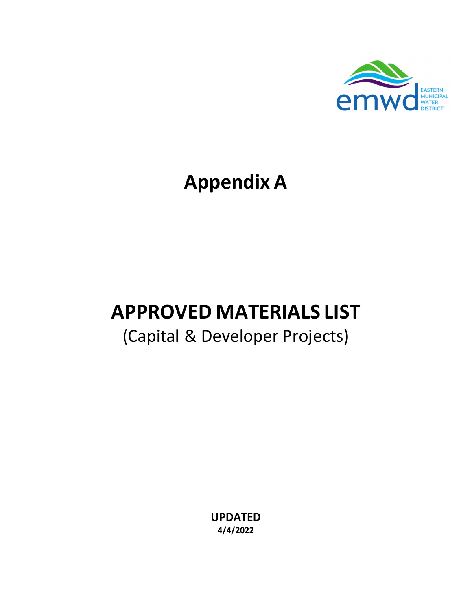

# **Appendix A**

# **APPROVED MATERIALS LIST**

## (Capital & Developer Projects)

**UPDATED 4/4/2022**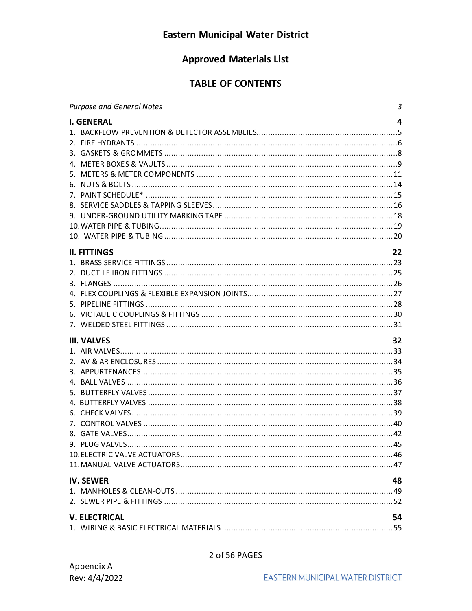## **Eastern Municipal Water District**

## **Approved Materials List**

## **TABLE OF CONTENTS**

| <b>Purpose and General Notes</b><br>$\mathbf{3}$     |
|------------------------------------------------------|
| <b>I. GENERAL</b><br>4                               |
| 22<br><b>II. FITTINGS</b>                            |
| 32<br><b>III. VALVES</b>                             |
| <b>IV. SEWER</b><br>48<br><b>V. ELECTRICAL</b><br>54 |

## 2 of 56 PAGES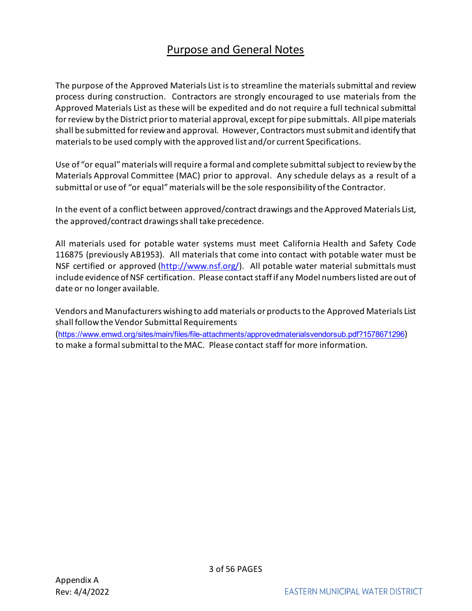## Purpose and General Notes

<span id="page-2-0"></span>The purpose of the Approved Materials List is to streamline the materials submittal and review process during construction. Contractors are strongly encouraged to use materials from the Approved Materials List as these will be expedited and do not require a full technical submittal for review by the District prior to material approval, except for pipe submittals. All pipe materials shall be submitted for review and approval. However, Contractors must submit and identify that materials to be used comply with the approved list and/or current Specifications.

Use of "or equal" materials will require a formal and complete submittal subject to review by the Materials Approval Committee (MAC) prior to approval. Any schedule delays as a result of a submittal or use of "or equal" materials will be the sole responsibility of the Contractor.

In the event of a conflict between approved/contract drawings and the Approved Materials List, the approved/contract drawings shall take precedence.

All materials used for potable water systems must meet California Health and Safety Code 116875 (previously AB1953). All materials that come into contact with potable water must be NSF certified or approved [\(http://www.nsf.org/\)](http://www.nsf.org/). All potable water material submittals must include evidence of NSF certification. Please contact staff if any Model numbers listed are out of date or no longer available.

Vendors and Manufacturers wishing to add materials or products to the Approved Materials List shall follow the Vendor Submittal Requirements (<https://www.emwd.org/sites/main/files/file-attachments/approvedmaterialsvendorsub.pdf?1578671296>) to make a formal submittal to the MAC. Please contact staff for more information.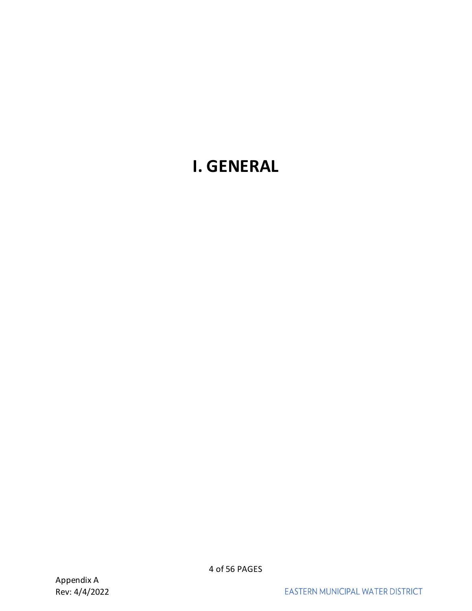## <span id="page-3-0"></span>**I. GENERAL**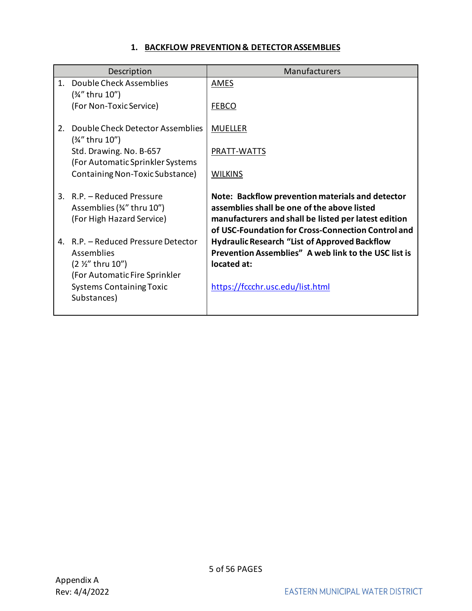### **1. BACKFLOW PREVENTION & DETECTOR ASSEMBLIES**

<span id="page-4-0"></span>

|         | Description                                                 | Manufacturers                                                                                                |
|---------|-------------------------------------------------------------|--------------------------------------------------------------------------------------------------------------|
| $1_{-}$ | Double Check Assemblies<br>(3⁄4" thru 10")                  | <b>AMES</b>                                                                                                  |
|         | (For Non-Toxic Service)                                     | <b>FEBCO</b>                                                                                                 |
| 2.      | Double Check Detector Assemblies<br>(3⁄4" thru 10")         | <b>MUELLER</b>                                                                                               |
|         | Std. Drawing. No. B-657<br>(For Automatic Sprinkler Systems | PRATT-WATTS                                                                                                  |
|         | Containing Non-Toxic Substance)                             | <b>WILKINS</b>                                                                                               |
| 3.      | R.P. - Reduced Pressure<br>Assemblies (34" thru 10")        | Note: Backflow prevention materials and detector<br>assemblies shall be one of the above listed              |
|         | (For High Hazard Service)                                   | manufacturers and shall be listed per latest edition<br>of USC-Foundation for Cross-Connection Control and   |
|         | 4. R.P. - Reduced Pressure Detector<br><b>Assemblies</b>    | <b>Hydraulic Research "List of Approved Backflow</b><br>Prevention Assemblies" A web link to the USC list is |
|         | $(2 \frac{1}{2}$ thru 10")                                  | located at:                                                                                                  |
|         | (For Automatic Fire Sprinkler                               |                                                                                                              |
|         | <b>Systems Containing Toxic</b><br>Substances)              | https://fccchr.usc.edu/list.html                                                                             |
|         |                                                             |                                                                                                              |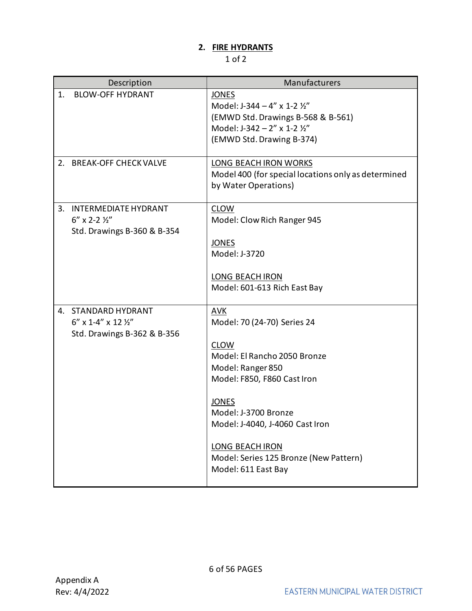## **2. FIRE HYDRANTS**

<span id="page-5-0"></span>

|    | Description                                                                                 | Manufacturers                                                                                                                                                                                                                                                                                               |
|----|---------------------------------------------------------------------------------------------|-------------------------------------------------------------------------------------------------------------------------------------------------------------------------------------------------------------------------------------------------------------------------------------------------------------|
| 1. | <b>BLOW-OFF HYDRANT</b>                                                                     | <b>JONES</b><br>Model: J-344 - 4" x 1-2 1/2"<br>(EMWD Std. Drawings B-568 & B-561)<br>Model: J-342 - 2" x 1-2 1/2"<br>(EMWD Std. Drawing B-374)                                                                                                                                                             |
|    | 2. BREAK-OFF CHECK VALVE                                                                    | <b>LONG BEACH IRON WORKS</b><br>Model 400 (for special locations only as determined<br>by Water Operations)                                                                                                                                                                                                 |
| 3. | <b>INTERMEDIATE HYDRANT</b><br>$6''$ x 2-2 $\frac{1}{2}''$<br>Std. Drawings B-360 & B-354   | <b>CLOW</b><br>Model: Clow Rich Ranger 945<br><b>JONES</b><br>Model: J-3720<br><b>LONG BEACH IRON</b><br>Model: 601-613 Rich East Bay                                                                                                                                                                       |
| 4. | <b>STANDARD HYDRANT</b><br>$6''$ x 1-4" x 12 $\frac{1}{2}$ "<br>Std. Drawings B-362 & B-356 | <b>AVK</b><br>Model: 70 (24-70) Series 24<br><b>CLOW</b><br>Model: El Rancho 2050 Bronze<br>Model: Ranger 850<br>Model: F850, F860 Cast Iron<br><b>JONES</b><br>Model: J-3700 Bronze<br>Model: J-4040, J-4060 Cast Iron<br>LONG BEACH IRON<br>Model: Series 125 Bronze (New Pattern)<br>Model: 611 East Bay |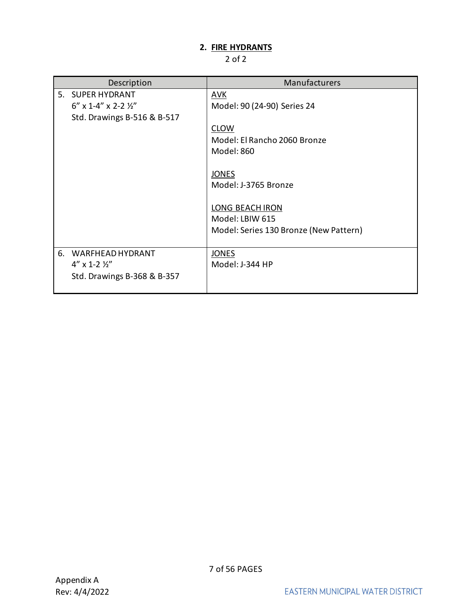## **2. FIRE HYDRANTS**

| Description                        | Manufacturers                          |
|------------------------------------|----------------------------------------|
| 5. SUPER HYDRANT                   | <b>AVK</b>                             |
| $6''$ x 1-4" x 2-2 $\frac{1}{2}$ " | Model: 90 (24-90) Series 24            |
| Std. Drawings B-516 & B-517        |                                        |
|                                    | <b>CLOW</b>                            |
|                                    | Model: El Rancho 2060 Bronze           |
|                                    | Model: 860                             |
|                                    |                                        |
|                                    | <b>JONES</b>                           |
|                                    | Model: J-3765 Bronze                   |
|                                    |                                        |
|                                    | <b>LONG BEACH IRON</b>                 |
|                                    | Model: LBIW 615                        |
|                                    | Model: Series 130 Bronze (New Pattern) |
|                                    |                                        |
| 6. WARFHEAD HYDRANT                | <b>JONES</b>                           |
| $4''$ x 1-2 $\frac{1}{2}''$        | Model: J-344 HP                        |
| Std. Drawings B-368 & B-357        |                                        |
|                                    |                                        |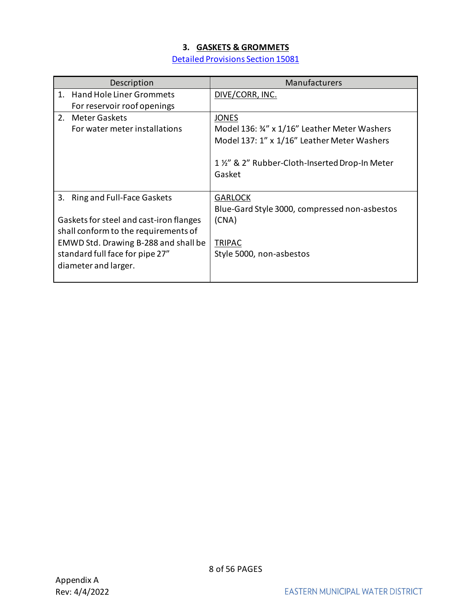## **3. GASKETS & GROMMETS**

[Detailed Provisions Section 15081](https://www.emwd.org/sites/main/files/file-attachments/15081_121709.pdf?1543181276)

<span id="page-7-0"></span>

| Description                                                                                                             | Manufacturers                                                                                                                                                            |
|-------------------------------------------------------------------------------------------------------------------------|--------------------------------------------------------------------------------------------------------------------------------------------------------------------------|
| <b>Hand Hole Liner Grommets</b><br>1 <sup>1</sup><br>For reservoir roof openings                                        | DIVE/CORR, INC.                                                                                                                                                          |
| 2. Meter Gaskets<br>For water meter installations                                                                       | <b>JONES</b><br>Model 136: 34" x 1/16" Leather Meter Washers<br>Model 137: 1" x 1/16" Leather Meter Washers<br>1 1/2" & 2" Rubber-Cloth-Inserted Drop-In Meter<br>Gasket |
| 3.<br><b>Ring and Full-Face Gaskets</b>                                                                                 | <b>GARLOCK</b><br>Blue-Gard Style 3000, compressed non-asbestos                                                                                                          |
| Gaskets for steel and cast-iron flanges<br>shall conform to the requirements of<br>EMWD Std. Drawing B-288 and shall be | (CNA)<br><b>TRIPAC</b>                                                                                                                                                   |
| standard full face for pipe 27"<br>diameter and larger.                                                                 | Style 5000, non-asbestos                                                                                                                                                 |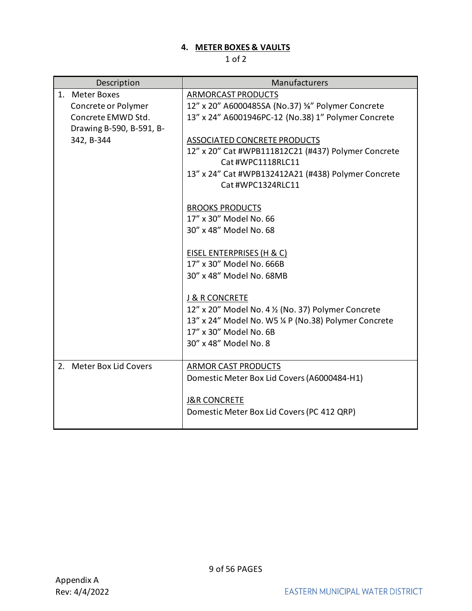## **4. METER BOXES & VAULTS**

<span id="page-8-0"></span>

| Description              | Manufacturers                                         |
|--------------------------|-------------------------------------------------------|
| 1. Meter Boxes           | ARMORCAST PRODUCTS                                    |
| Concrete or Polymer      | 12" x 20" A6000485SA (No.37) %" Polymer Concrete      |
| Concrete EMWD Std.       | 13" x 24" A6001946PC-12 (No.38) 1" Polymer Concrete   |
| Drawing B-590, B-591, B- |                                                       |
| 342, B-344               | ASSOCIATED CONCRETE PRODUCTS                          |
|                          | 12" x 20" Cat #WPB111812C21 (#437) Polymer Concrete   |
|                          | Cat #WPC1118RLC11                                     |
|                          | 13" x 24" Cat #WPB132412A21 (#438) Polymer Concrete   |
|                          | Cat #WPC1324RLC11                                     |
|                          |                                                       |
|                          | <b>BROOKS PRODUCTS</b><br>17" x 30" Model No. 66      |
|                          | 30" x 48" Model No. 68                                |
|                          |                                                       |
|                          | EISEL ENTERPRISES (H & C)                             |
|                          | 17" x 30" Model No. 666B                              |
|                          | 30" x 48" Model No. 68MB                              |
|                          |                                                       |
|                          | <b>J &amp; R CONCRETE</b>                             |
|                          | 12" x 20" Model No. 4 1/2 (No. 37) Polymer Concrete   |
|                          | 13" x 24" Model No. W5 1/4 P (No.38) Polymer Concrete |
|                          | 17" x 30" Model No. 6B                                |
|                          | 30" x 48" Model No. 8                                 |
|                          |                                                       |
| 2. Meter Box Lid Covers  | <b>ARMOR CAST PRODUCTS</b>                            |
|                          | Domestic Meter Box Lid Covers (A6000484-H1)           |
|                          |                                                       |
|                          | <b>J&amp;R CONCRETE</b>                               |
|                          | Domestic Meter Box Lid Covers (PC 412 QRP)            |
|                          |                                                       |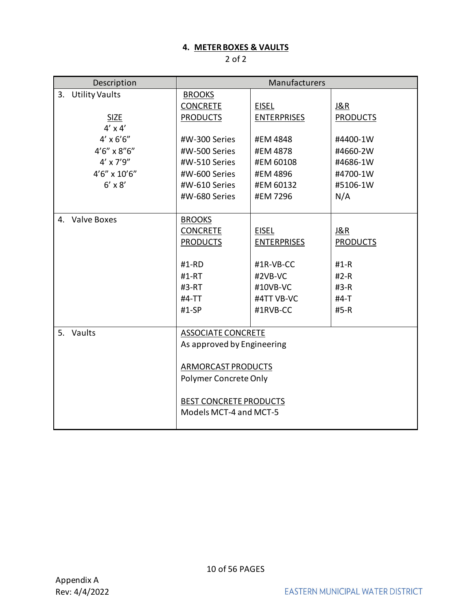## **4. METER BOXES & VAULTS**

| Description                 | Manufacturers                 |                    |                 |
|-----------------------------|-------------------------------|--------------------|-----------------|
| <b>Utility Vaults</b><br>3. | <b>BROOKS</b>                 |                    |                 |
|                             | <b>CONCRETE</b>               | <b>EISEL</b>       | <u>J&amp;R</u>  |
| <b>SIZE</b>                 | <b>PRODUCTS</b>               | <b>ENTERPRISES</b> | <b>PRODUCTS</b> |
| $4' \times 4'$              |                               |                    |                 |
| $4' \times 6'6''$           | #W-300 Series                 | #EM 4848           | #4400-1W        |
| $4'6''$ x $8''6''$          | #W-500 Series                 | #EM 4878           | #4660-2W        |
| $4' \times 7'9''$           | #W-510 Series                 | #EM 60108          | #4686-1W        |
| $4'6'' \times 10'6''$       | #W-600 Series                 | #EM 4896           | #4700-1W        |
| $6' \times 8'$              | #W-610 Series                 | #EM 60132          | #5106-1W        |
|                             | #W-680 Series                 | #EM 7296           | N/A             |
|                             |                               |                    |                 |
| 4. Valve Boxes              | <b>BROOKS</b>                 |                    |                 |
|                             | <b>CONCRETE</b>               | <b>EISEL</b>       | J&R             |
|                             | <b>PRODUCTS</b>               | <b>ENTERPRISES</b> | <b>PRODUCTS</b> |
|                             |                               |                    |                 |
|                             | $#1-RD$                       | #1R-VB-CC          | $#1-R$          |
|                             | #1-RT                         | #2VB-VC            | $#2-R$          |
|                             | #3-RT                         | #10VB-VC           | $#3-R$          |
|                             | #4-TT                         | #4TT VB-VC         | $#4-T$          |
|                             | $#1$ -SP                      | #1RVB-CC           | $#5-R$          |
|                             |                               |                    |                 |
| Vaults<br>5.                | <b>ASSOCIATE CONCRETE</b>     |                    |                 |
|                             | As approved by Engineering    |                    |                 |
|                             |                               |                    |                 |
|                             | ARMORCAST PRODUCTS            |                    |                 |
|                             | Polymer Concrete Only         |                    |                 |
|                             | <b>BEST CONCRETE PRODUCTS</b> |                    |                 |
|                             | Models MCT-4 and MCT-5        |                    |                 |
|                             |                               |                    |                 |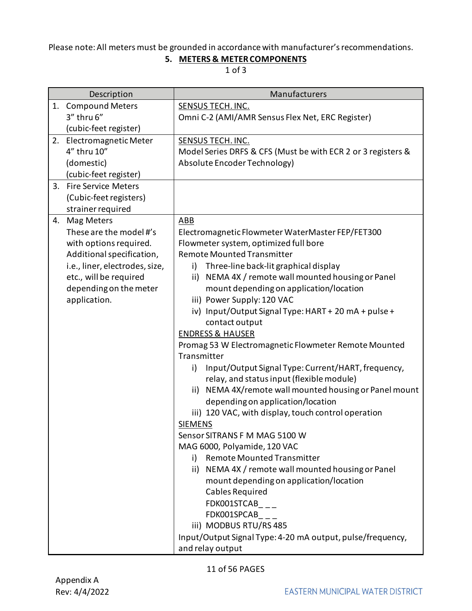## <span id="page-10-0"></span>Please note: All meters must be grounded in accordance with manufacturer's recommendations.

## **5. METERS & METER COMPONENTS**

|    | Description                    | Manufacturers                                                |
|----|--------------------------------|--------------------------------------------------------------|
| 1. | <b>Compound Meters</b>         | SENSUS TECH. INC.                                            |
|    | 3" thru 6"                     | Omni C-2 (AMI/AMR Sensus Flex Net, ERC Register)             |
|    | (cubic-feet register)          |                                                              |
| 2. | Electromagnetic Meter          | SENSUS TECH. INC.                                            |
|    | 4" thru 10"                    | Model Series DRFS & CFS (Must be with ECR 2 or 3 registers & |
|    | (domestic)                     | Absolute Encoder Technology)                                 |
|    | (cubic-feet register)          |                                                              |
|    | 3. Fire Service Meters         |                                                              |
|    | (Cubic-feet registers)         |                                                              |
|    | strainer required              |                                                              |
| 4. | Mag Meters                     | ABB                                                          |
|    | These are the model #'s        | Electromagnetic Flowmeter WaterMaster FEP/FET300             |
|    | with options required.         | Flowmeter system, optimized full bore                        |
|    | Additional specification,      | <b>Remote Mounted Transmitter</b>                            |
|    | i.e., liner, electrodes, size, | i) Three-line back-lit graphical display                     |
|    | etc., will be required         | ii) NEMA 4X / remote wall mounted housing or Panel           |
|    | depending on the meter         | mount depending on application/location                      |
|    | application.                   | iii) Power Supply: 120 VAC                                   |
|    |                                | iv) Input/Output Signal Type: HART + 20 mA + pulse +         |
|    |                                | contact output                                               |
|    |                                | <b>ENDRESS &amp; HAUSER</b>                                  |
|    |                                | Promag 53 W Electromagnetic Flowmeter Remote Mounted         |
|    |                                | Transmitter                                                  |
|    |                                | Input/Output Signal Type: Current/HART, frequency,<br>i)     |
|    |                                | relay, and status input (flexible module)                    |
|    |                                | ii) NEMA 4X/remote wall mounted housing or Panel mount       |
|    |                                | depending on application/location                            |
|    |                                | iii) 120 VAC, with display, touch control operation          |
|    |                                | <b>SIEMENS</b>                                               |
|    |                                | Sensor SITRANS F M MAG 5100 W                                |
|    |                                | MAG 6000, Polyamide, 120 VAC                                 |
|    |                                | <b>Remote Mounted Transmitter</b><br>i)                      |
|    |                                | ii) NEMA 4X / remote wall mounted housing or Panel           |
|    |                                | mount depending on application/location                      |
|    |                                | Cables Required                                              |
|    |                                | FDK001STCAB                                                  |
|    |                                | FDK001SPCAB                                                  |
|    |                                | iii) MODBUS RTU/RS 485                                       |
|    |                                | Input/Output Signal Type: 4-20 mA output, pulse/frequency,   |
|    |                                | and relay output                                             |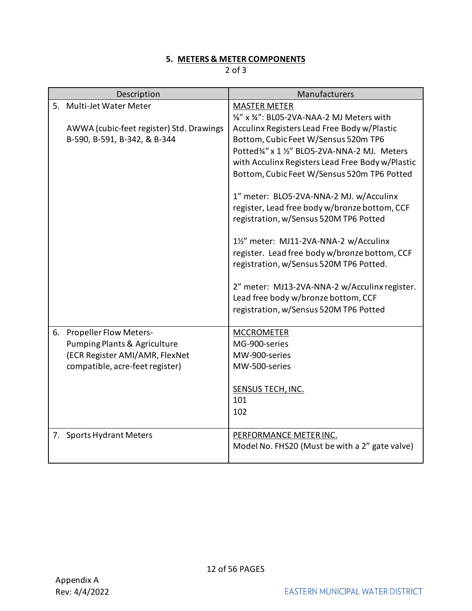#### **5. METERS & METER COMPONENTS**

|    | Description                                                                                                                        | Manufacturers                                                                                                                                                                                                                                                                                                                                                                                       |
|----|------------------------------------------------------------------------------------------------------------------------------------|-----------------------------------------------------------------------------------------------------------------------------------------------------------------------------------------------------------------------------------------------------------------------------------------------------------------------------------------------------------------------------------------------------|
|    | 5. Multi-Jet Water Meter<br>AWWA (cubic-feet register) Std. Drawings<br>B-590, B-591, B-342, & B-344                               | <b>MASTER METER</b><br>%" x %": BL05-2VA-NAA-2 MJ Meters with<br>Acculinx Registers Lead Free Body w/Plastic<br>Bottom, Cubic Feet W/Sensus 520m TP6<br>Potted34" x 1 1/2" BLO5-2VA-NNA-2 MJ. Meters<br>with Acculinx Registers Lead Free Body w/Plastic<br>Bottom, Cubic Feet W/Sensus 520m TP6 Potted<br>1" meter: BLO5-2VA-NNA-2 MJ. w/Acculinx<br>register, Lead free body w/bronze bottom, CCF |
|    |                                                                                                                                    | registration, w/Sensus 520M TP6 Potted<br>1½" meter: MJ11-2VA-NNA-2 w/Acculinx<br>register. Lead free body w/bronze bottom, CCF<br>registration, w/Sensus 520M TP6 Potted.<br>2" meter: MJ13-2VA-NNA-2 w/Acculinx register.<br>Lead free body w/bronze bottom, CCF<br>registration, w/Sensus 520M TP6 Potted                                                                                        |
| 6. | <b>Propeller Flow Meters-</b><br>Pumping Plants & Agriculture<br>(ECR Register AMI/AMR, FlexNet<br>compatible, acre-feet register) | <b>MCCROMETER</b><br>MG-900-series<br>MW-900-series<br>MW-500-series<br>SENSUS TECH, INC.<br>101<br>102                                                                                                                                                                                                                                                                                             |
|    | 7. Sports Hydrant Meters                                                                                                           | PERFORMANCE METER INC.<br>Model No. FHS20 (Must be with a 2" gate valve)                                                                                                                                                                                                                                                                                                                            |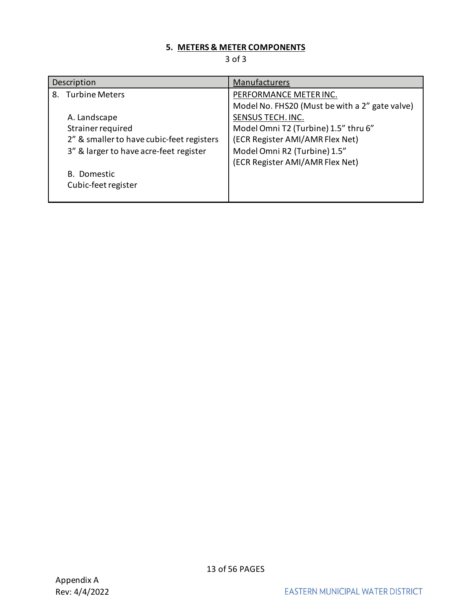## **5. METERS & METER COMPONENTS**

| Description                               | Manufacturers                                  |
|-------------------------------------------|------------------------------------------------|
| <b>Turbine Meters</b><br>8.               | PERFORMANCE METER INC.                         |
|                                           | Model No. FHS20 (Must be with a 2" gate valve) |
| A. Landscape                              | SENSUS TECH. INC.                              |
| Strainer required                         | Model Omni T2 (Turbine) 1.5" thru 6"           |
| 2" & smaller to have cubic-feet registers | (ECR Register AMI/AMR Flex Net)                |
| 3" & larger to have acre-feet register    | Model Omni R2 (Turbine) 1.5"                   |
|                                           | (ECR Register AMI/AMR Flex Net)                |
| B. Domestic                               |                                                |
| Cubic-feet register                       |                                                |
|                                           |                                                |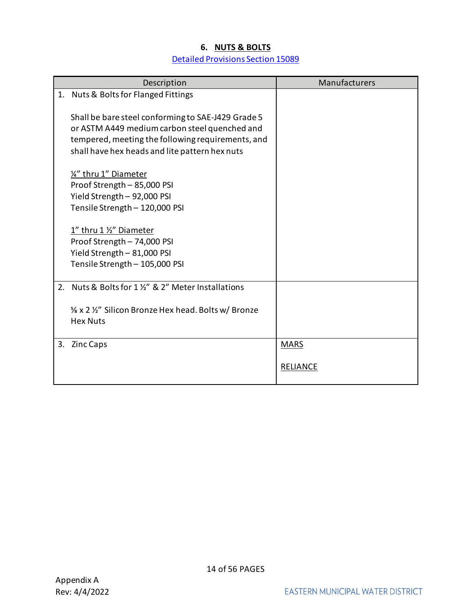## **6. NUTS & BOLTS** [Detailed Provisions Section 15089](https://www.emwd.org/sites/main/files/file-attachments/15089_101907.pdf?1543181298)

<span id="page-13-0"></span>

|    | Description                                                                                                                                                                                                | Manufacturers   |
|----|------------------------------------------------------------------------------------------------------------------------------------------------------------------------------------------------------------|-----------------|
|    | 1. Nuts & Bolts for Flanged Fittings                                                                                                                                                                       |                 |
|    | Shall be bare steel conforming to SAE-J429 Grade 5<br>or ASTM A449 medium carbon steel quenched and<br>tempered, meeting the following requirements, and<br>shall have hex heads and lite pattern hex nuts |                 |
|    | 14" thru 1" Diameter<br>Proof Strength - 85,000 PSI<br>Yield Strength - 92,000 PSI<br>Tensile Strength - 120,000 PSI                                                                                       |                 |
|    | 1" thru 1 1/2" Diameter                                                                                                                                                                                    |                 |
|    | Proof Strength - 74,000 PSI                                                                                                                                                                                |                 |
|    | Yield Strength - 81,000 PSI<br>Tensile Strength - 105,000 PSI                                                                                                                                              |                 |
|    |                                                                                                                                                                                                            |                 |
| 2. | Nuts & Bolts for 1 1/2" & 2" Meter Installations                                                                                                                                                           |                 |
|    | % x 2 1/2" Silicon Bronze Hex head. Bolts w/ Bronze<br><b>Hex Nuts</b>                                                                                                                                     |                 |
|    | 3. Zinc Caps                                                                                                                                                                                               | <b>MARS</b>     |
|    |                                                                                                                                                                                                            | <b>RELIANCE</b> |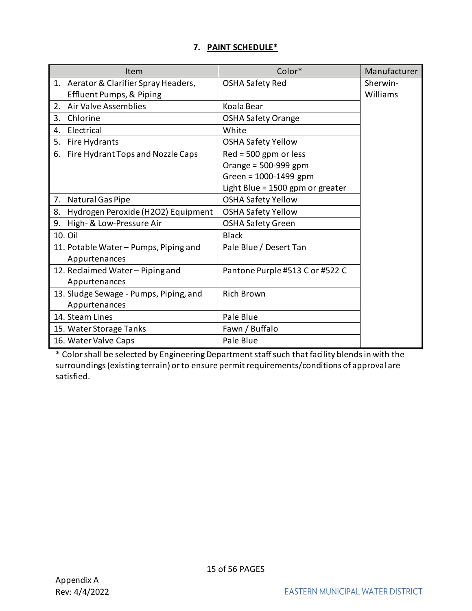## **7. PAINT SCHEDULE\***

<span id="page-14-0"></span>

| Item                                     | Color*                           | Manufacturer |
|------------------------------------------|----------------------------------|--------------|
| 1. Aerator & Clarifier Spray Headers,    | <b>OSHA Safety Red</b>           | Sherwin-     |
| <b>Effluent Pumps, &amp; Piping</b>      |                                  | Williams     |
| <b>Air Valve Assemblies</b><br>2.        | Koala Bear                       |              |
| 3.<br>Chlorine                           | <b>OSHA Safety Orange</b>        |              |
| Electrical<br>4.                         | White                            |              |
| 5.<br>Fire Hydrants                      | <b>OSHA Safety Yellow</b>        |              |
| Fire Hydrant Tops and Nozzle Caps<br>6.  | $Red = 500$ gpm or less          |              |
|                                          | Orange = 500-999 gpm             |              |
|                                          | Green = 1000-1499 gpm            |              |
|                                          | Light Blue = 1500 gpm or greater |              |
| Natural Gas Pipe<br>7.                   | <b>OSHA Safety Yellow</b>        |              |
| Hydrogen Peroxide (H2O2) Equipment<br>8. | <b>OSHA Safety Yellow</b>        |              |
| 9.<br>High- & Low-Pressure Air           | <b>OSHA Safety Green</b>         |              |
| 10. Oil                                  | <b>Black</b>                     |              |
| 11. Potable Water - Pumps, Piping and    | Pale Blue / Desert Tan           |              |
| Appurtenances                            |                                  |              |
| 12. Reclaimed Water - Piping and         | Pantone Purple #513 C or #522 C  |              |
| Appurtenances                            |                                  |              |
| 13. Sludge Sewage - Pumps, Piping, and   | <b>Rich Brown</b>                |              |
| Appurtenances                            |                                  |              |
| 14. Steam Lines                          | Pale Blue                        |              |
| 15. Water Storage Tanks                  | Fawn / Buffalo                   |              |
| 16. Water Valve Caps                     | Pale Blue                        |              |

\* Color shall be selected by Engineering Department staff such that facility blends in with the surroundings (existing terrain) or to ensure permit requirements/conditions of approval are satisfied.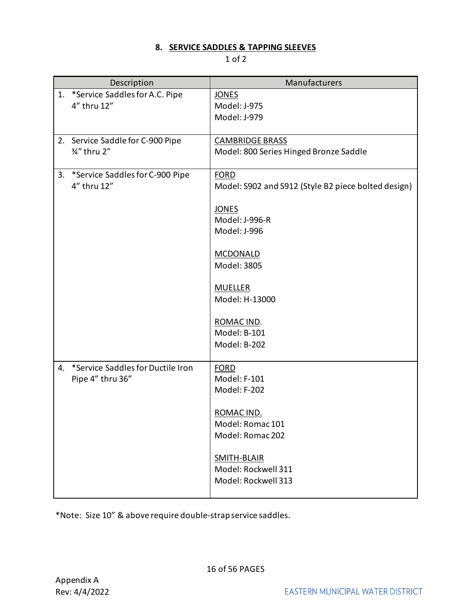## **8. SERVICE SADDLES & TAPPING SLEEVES**

### 1 of 2

<span id="page-15-0"></span>

|    | Description                                           | Manufacturers                                                                                                                                                                                                                     |
|----|-------------------------------------------------------|-----------------------------------------------------------------------------------------------------------------------------------------------------------------------------------------------------------------------------------|
| 1. | *Service Saddles for A.C. Pipe<br>4" thru 12"         | <b>JONES</b><br>Model: J-975<br>Model: J-979                                                                                                                                                                                      |
|    | 2. Service Saddle for C-900 Pipe<br>3/4" thru 2"      | <b>CAMBRIDGE BRASS</b><br>Model: 800 Series Hinged Bronze Saddle                                                                                                                                                                  |
| 3. | *Service Saddles for C-900 Pipe<br>4" thru 12"        | <b>FORD</b><br>Model: S902 and S912 (Style B2 piece bolted design)<br><b>JONES</b><br>Model: J-996-R<br>Model: J-996<br>MCDONALD<br>Model: 3805<br><b>MUELLER</b><br>Model: H-13000<br>ROMAC IND.<br>Model: B-101<br>Model: B-202 |
| 4. | *Service Saddles for Ductile Iron<br>Pipe 4" thru 36" | <b>FORD</b><br>Model: F-101<br>Model: F-202<br>ROMAC IND.<br>Model: Romac 101<br>Model: Romac 202<br><b>SMITH-BLAIR</b><br>Model: Rockwell 311<br>Model: Rockwell 313                                                             |

\*Note: Size 10" & above require double-strap service saddles.

16 of 56 PAGES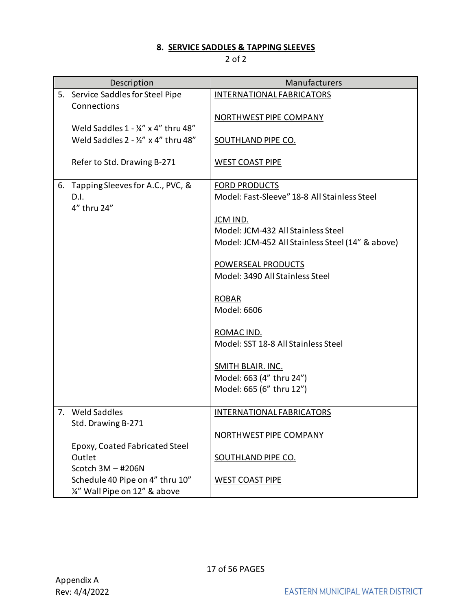## **8. SERVICE SADDLES & TAPPING SLEEVES**

| Description                                                                           | Manufacturers                                    |
|---------------------------------------------------------------------------------------|--------------------------------------------------|
| 5. Service Saddles for Steel Pipe<br>Connections                                      | <b>INTERNATIONAL FABRICATORS</b>                 |
|                                                                                       | NORTHWEST PIPE COMPANY                           |
| Weld Saddles 1 - 1/4" x 4" thru 48"<br>Weld Saddles $2 - \frac{1}{2}$ " x 4" thru 48" | <b>SOUTHLAND PIPE CO.</b>                        |
| Refer to Std. Drawing B-271                                                           | <b>WEST COAST PIPE</b>                           |
| 6. Tapping Sleeves for A.C., PVC, &                                                   | <b>FORD PRODUCTS</b>                             |
| D.I.<br>4" thru 24"                                                                   | Model: Fast-Sleeve" 18-8 All Stainless Steel     |
|                                                                                       | JCM IND.                                         |
|                                                                                       | Model: JCM-432 All Stainless Steel               |
|                                                                                       | Model: JCM-452 All Stainless Steel (14" & above) |
|                                                                                       | POWERSEAL PRODUCTS                               |
|                                                                                       | Model: 3490 All Stainless Steel                  |
|                                                                                       |                                                  |
|                                                                                       | <b>ROBAR</b><br>Model: 6606                      |
|                                                                                       |                                                  |
|                                                                                       | ROMAC IND.                                       |
|                                                                                       | Model: SST 18-8 All Stainless Steel              |
|                                                                                       | <b>SMITH BLAIR. INC.</b>                         |
|                                                                                       | Model: 663 (4" thru 24")                         |
|                                                                                       | Model: 665 (6" thru 12")                         |
| 7. Weld Saddles                                                                       | INTERNATIONAL FABRICATORS                        |
| Std. Drawing B-271                                                                    |                                                  |
|                                                                                       | NORTHWEST PIPE COMPANY                           |
| Epoxy, Coated Fabricated Steel<br>Outlet                                              | <b>SOUTHLAND PIPE CO.</b>                        |
| Scotch $3M - #206N$                                                                   |                                                  |
| Schedule 40 Pipe on 4" thru 10"<br>1/4" Wall Pipe on 12" & above                      | <b>WEST COAST PIPE</b>                           |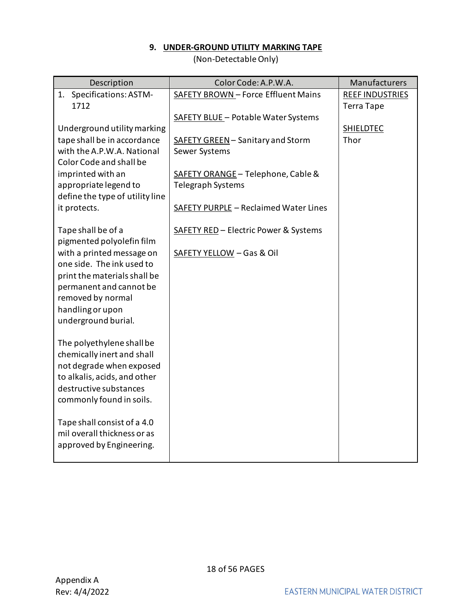### **9. UNDER-GROUND UTILITY MARKING TAPE**

(Non-Detectable Only)

<span id="page-17-0"></span>

| Description                                               | Color Code: A.P.W.A.                               | Manufacturers                               |
|-----------------------------------------------------------|----------------------------------------------------|---------------------------------------------|
| 1. Specifications: ASTM-<br>1712                          | SAFETY BROWN - Force Effluent Mains                | <b>REEF INDUSTRIES</b><br><b>Terra Tape</b> |
|                                                           | <b>SAFETY BLUE - Potable Water Systems</b>         |                                             |
| Underground utility marking                               |                                                    | <b>SHIELDTEC</b>                            |
| tape shall be in accordance<br>with the A.P.W.A. National | SAFETY GREEN - Sanitary and Storm<br>Sewer Systems | Thor                                        |
| Color Code and shall be                                   |                                                    |                                             |
| imprinted with an                                         | SAFETY ORANGE - Telephone, Cable &                 |                                             |
| appropriate legend to<br>define the type of utility line  | Telegraph Systems                                  |                                             |
| it protects.                                              | SAFETY PURPLE - Reclaimed Water Lines              |                                             |
| Tape shall be of a<br>pigmented polyolefin film           | SAFETY RED - Electric Power & Systems              |                                             |
| with a printed message on                                 | SAFETY YELLOW - Gas & Oil                          |                                             |
| one side. The ink used to                                 |                                                    |                                             |
| print the materials shall be<br>permanent and cannot be   |                                                    |                                             |
| removed by normal                                         |                                                    |                                             |
| handling or upon                                          |                                                    |                                             |
| underground burial.                                       |                                                    |                                             |
| The polyethylene shall be                                 |                                                    |                                             |
| chemically inert and shall                                |                                                    |                                             |
| not degrade when exposed<br>to alkalis, acids, and other  |                                                    |                                             |
| destructive substances                                    |                                                    |                                             |
| commonly found in soils.                                  |                                                    |                                             |
| Tape shall consist of a 4.0                               |                                                    |                                             |
| mil overall thickness or as                               |                                                    |                                             |
| approved by Engineering.                                  |                                                    |                                             |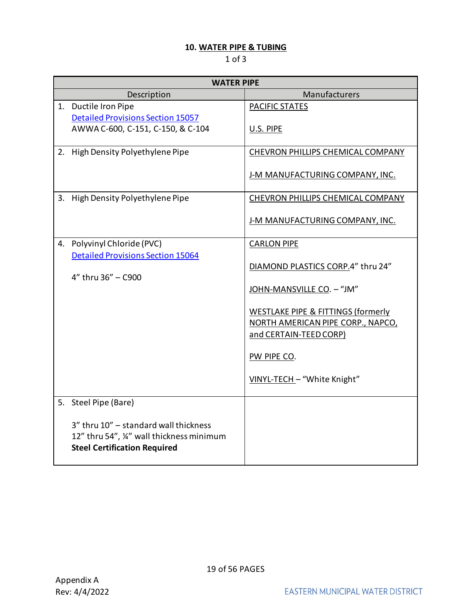## **10. WATER PIPE & TUBING**

<span id="page-18-0"></span>

|    | <b>WATER PIPE</b>                                                                                                       |                                    |  |  |
|----|-------------------------------------------------------------------------------------------------------------------------|------------------------------------|--|--|
|    | Description                                                                                                             | Manufacturers                      |  |  |
|    | 1. Ductile Iron Pipe                                                                                                    | PACIFIC STATES                     |  |  |
|    | <b>Detailed Provisions Section 15057</b>                                                                                |                                    |  |  |
|    | AWWA C-600, C-151, C-150, & C-104                                                                                       | U.S. PIPE                          |  |  |
|    | 2. High Density Polyethylene Pipe                                                                                       | CHEVRON PHILLIPS CHEMICAL COMPANY  |  |  |
|    |                                                                                                                         |                                    |  |  |
|    |                                                                                                                         | J-M MANUFACTURING COMPANY, INC.    |  |  |
| 3. | High Density Polyethylene Pipe                                                                                          | CHEVRON PHILLIPS CHEMICAL COMPANY  |  |  |
|    |                                                                                                                         | J-M MANUFACTURING COMPANY, INC.    |  |  |
| 4. | Polyvinyl Chloride (PVC)                                                                                                | <b>CARLON PIPE</b>                 |  |  |
|    | <b>Detailed Provisions Section 15064</b>                                                                                |                                    |  |  |
|    |                                                                                                                         | DIAMOND PLASTICS CORP.4" thru 24"  |  |  |
|    | 4" thru 36" - C900                                                                                                      | JOHN-MANSVILLE CO. - "JM"          |  |  |
|    |                                                                                                                         |                                    |  |  |
|    |                                                                                                                         | WESTLAKE PIPE & FITTINGS (formerly |  |  |
|    |                                                                                                                         | NORTH AMERICAN PIPE CORP., NAPCO,  |  |  |
|    |                                                                                                                         | and CERTAIN-TEED CORP)             |  |  |
|    |                                                                                                                         | PW PIPE CO.                        |  |  |
|    |                                                                                                                         | VINYL-TECH - "White Knight"        |  |  |
|    | 5. Steel Pipe (Bare)                                                                                                    |                                    |  |  |
|    | 3" thru 10" - standard wall thickness<br>12" thru 54", ¼" wall thickness minimum<br><b>Steel Certification Required</b> |                                    |  |  |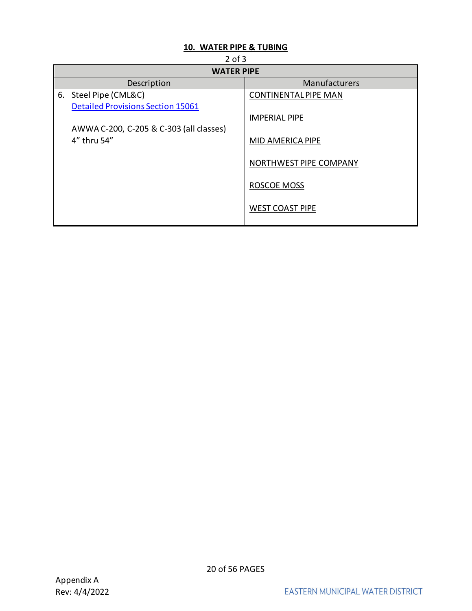## **10. WATER PIPE & TUBING**

<span id="page-19-0"></span>

| $2$ of $3$                               |                             |  |  |  |
|------------------------------------------|-----------------------------|--|--|--|
| <b>WATER PIPE</b>                        |                             |  |  |  |
| Description                              | Manufacturers               |  |  |  |
| 6. Steel Pipe (CML&C)                    | <b>CONTINENTAL PIPE MAN</b> |  |  |  |
| <b>Detailed Provisions Section 15061</b> |                             |  |  |  |
|                                          | <b>IMPERIAL PIPE</b>        |  |  |  |
| AWWA C-200, C-205 & C-303 (all classes)  |                             |  |  |  |
| 4" thru 54"                              | MID AMERICA PIPE            |  |  |  |
|                                          |                             |  |  |  |
|                                          | NORTHWEST PIPE COMPANY      |  |  |  |
|                                          |                             |  |  |  |
|                                          | <b>ROSCOE MOSS</b>          |  |  |  |
|                                          |                             |  |  |  |
|                                          | <b>WEST COAST PIPE</b>      |  |  |  |
|                                          |                             |  |  |  |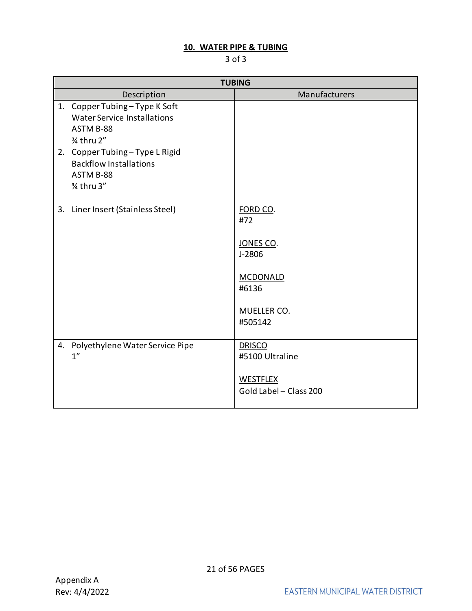## **10. WATER PIPE & TUBING**

|    | <b>TUBING</b>                              |                        |  |  |
|----|--------------------------------------------|------------------------|--|--|
|    | Description                                | Manufacturers          |  |  |
| 1. | Copper Tubing-Type K Soft                  |                        |  |  |
|    | <b>Water Service Installations</b>         |                        |  |  |
|    | ASTM B-88                                  |                        |  |  |
|    | 3⁄4 thru 2"                                |                        |  |  |
| 2. | Copper Tubing-Type L Rigid                 |                        |  |  |
|    | <b>Backflow Installations</b><br>ASTM B-88 |                        |  |  |
|    | 3⁄4 thru 3"                                |                        |  |  |
|    |                                            |                        |  |  |
| 3. | Liner Insert (Stainless Steel)             | FORD CO.               |  |  |
|    |                                            | #72                    |  |  |
|    |                                            |                        |  |  |
|    |                                            | JONES CO.              |  |  |
|    |                                            | J-2806                 |  |  |
|    |                                            |                        |  |  |
|    |                                            | <b>MCDONALD</b>        |  |  |
|    |                                            | #6136                  |  |  |
|    |                                            | MUELLER CO.            |  |  |
|    |                                            | #505142                |  |  |
|    |                                            |                        |  |  |
| 4. | Polyethylene Water Service Pipe            | <b>DRISCO</b>          |  |  |
|    | 1 <sup>''</sup>                            | #5100 Ultraline        |  |  |
|    |                                            |                        |  |  |
|    |                                            | WESTFLEX               |  |  |
|    |                                            | Gold Label - Class 200 |  |  |
|    |                                            |                        |  |  |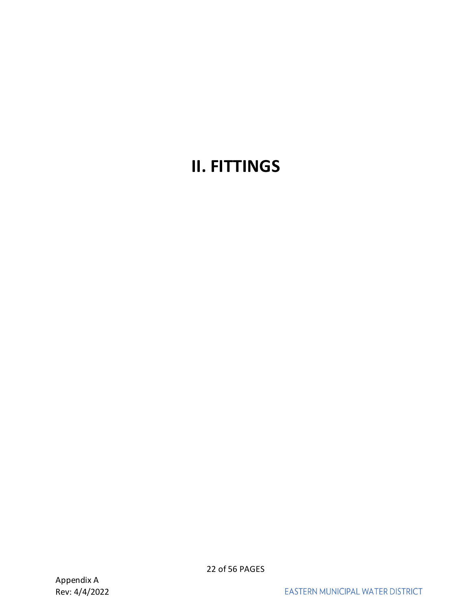## <span id="page-21-0"></span>**II. FITTINGS**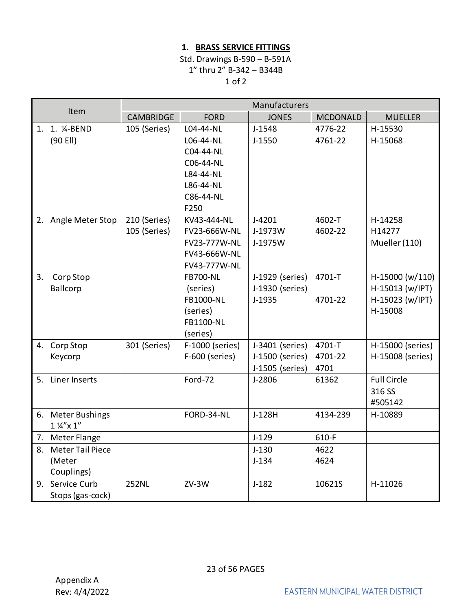## **1. BRASS SERVICE FITTINGS**

## Std. Drawings B-590 – B-591A 1" thru 2" B-342 – B344B 1 of 2

<span id="page-22-0"></span>

| Item |                                         | Manufacturers    |                  |                 |                 |                    |
|------|-----------------------------------------|------------------|------------------|-----------------|-----------------|--------------------|
|      |                                         | <b>CAMBRIDGE</b> | <b>FORD</b>      | <b>JONES</b>    | <b>MCDONALD</b> | <b>MUELLER</b>     |
|      | 1. 1. <sup>1</sup> / <sub>4</sub> -BEND | 105 (Series)     | L04-44-NL        | $J-1548$        | 4776-22         | H-15530            |
|      | (90 Ell)                                |                  | L06-44-NL        | $J-1550$        | 4761-22         | H-15068            |
|      |                                         |                  | C04-44-NL        |                 |                 |                    |
|      |                                         |                  | C06-44-NL        |                 |                 |                    |
|      |                                         |                  | L84-44-NL        |                 |                 |                    |
|      |                                         |                  | L86-44-NL        |                 |                 |                    |
|      |                                         |                  | C86-44-NL        |                 |                 |                    |
|      |                                         |                  | F250             |                 |                 |                    |
|      | 2. Angle Meter Stop                     | 210 (Series)     | KV43-444-NL      | $J-4201$        | 4602-T          | H-14258            |
|      |                                         | 105 (Series)     | FV23-666W-NL     | J-1973W         | 4602-22         | H14277             |
|      |                                         |                  | FV23-777W-NL     | J-1975W         |                 | Mueller (110)      |
|      |                                         |                  | FV43-666W-NL     |                 |                 |                    |
|      |                                         |                  | FV43-777W-NL     |                 |                 |                    |
| 3.   | Corp Stop                               |                  | <b>FB700-NL</b>  | J-1929 (series) | 4701-T          | H-15000 (w/110)    |
|      | Ballcorp                                |                  | (series)         | J-1930 (series) |                 | H-15013 (w/IPT)    |
|      |                                         |                  | FB1000-NL        | $J-1935$        | 4701-22         | H-15023 (w/IPT)    |
|      |                                         |                  | (series)         |                 |                 | H-15008            |
|      |                                         |                  | <b>FB1100-NL</b> |                 |                 |                    |
|      |                                         |                  | (series)         |                 |                 |                    |
|      | 4. Corp Stop                            | 301 (Series)     | F-1000 (series)  | J-3401 (series) | 4701-T          | H-15000 (series)   |
|      | Keycorp                                 |                  | F-600 (series)   | J-1500 (series) | 4701-22         | H-15008 (series)   |
|      |                                         |                  |                  | J-1505 (series) | 4701            |                    |
| 5.   | Liner Inserts                           |                  | Ford-72          | J-2806          | 61362           | <b>Full Circle</b> |
|      |                                         |                  |                  |                 |                 | 316 SS             |
|      |                                         |                  |                  |                 |                 | #505142            |
|      | 6. Meter Bushings                       |                  | FORD-34-NL       | J-128H          | 4134-239        | H-10889            |
|      | $1\frac{1}{4}x$ x $1''$                 |                  |                  |                 |                 |                    |
|      | 7. Meter Flange                         |                  |                  | $J-129$         | 610-F           |                    |
| 8.   | <b>Meter Tail Piece</b>                 |                  |                  | $J-130$         | 4622            |                    |
|      | (Meter                                  |                  |                  | $J-134$         | 4624            |                    |
|      | Couplings)                              |                  |                  |                 |                 |                    |
|      | 9. Service Curb                         | <b>252NL</b>     | $ZV-3W$          | $J-182$         | 10621S          | H-11026            |
|      | Stops (gas-cock)                        |                  |                  |                 |                 |                    |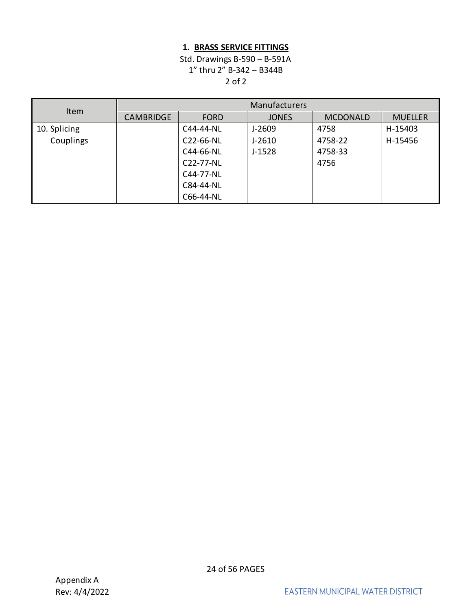## **1. BRASS SERVICE FITTINGS**

## Std. Drawings B-590 – B-591A 1" thru 2" B-342 – B344B 2 of 2

|              | Manufacturers    |             |              |                 |                |
|--------------|------------------|-------------|--------------|-----------------|----------------|
| Item         | <b>CAMBRIDGE</b> | <b>FORD</b> | <b>JONES</b> | <b>MCDONALD</b> | <b>MUELLER</b> |
| 10. Splicing |                  | C44-44-NL   | J-2609       | 4758            | H-15403        |
| Couplings    |                  | C22-66-NL   | $J-2610$     | 4758-22         | H-15456        |
|              |                  | C44-66-NL   | $J-1528$     | 4758-33         |                |
|              |                  | C22-77-NL   |              | 4756            |                |
|              |                  | C44-77-NL   |              |                 |                |
|              |                  | C84-44-NL   |              |                 |                |
|              |                  | C66-44-NL   |              |                 |                |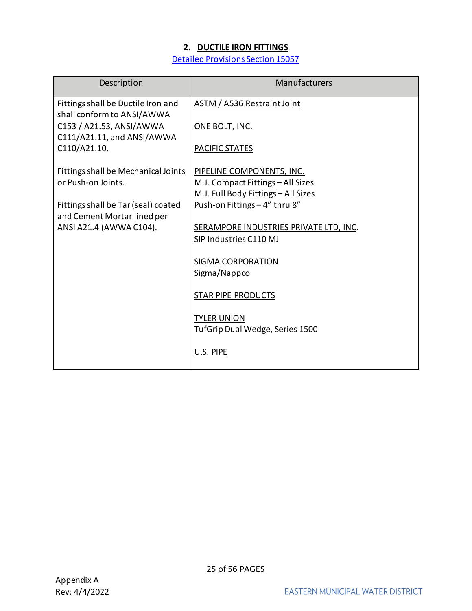## **2. DUCTILE IRON FITTINGS**

[Detailed Provisions Section 15057](https://www.emwd.org/sites/main/files/file-attachments/15057_rev1.pdf?1543181119)

<span id="page-24-0"></span>

| Description                                                      | Manufacturers                                                        |
|------------------------------------------------------------------|----------------------------------------------------------------------|
| Fittings shall be Ductile Iron and<br>shall conform to ANSI/AWWA | <b>ASTM / A536 Restraint Joint</b>                                   |
| C153 / A21.53, ANSI/AWWA<br>C111/A21.11, and ANSI/AWWA           | ONE BOLT, INC.                                                       |
| C110/A21.10.                                                     | <b>PACIFIC STATES</b>                                                |
| Fittings shall be Mechanical Joints                              | PIPELINE COMPONENTS, INC.                                            |
| or Push-on Joints.                                               | M.J. Compact Fittings - All Sizes                                    |
| Fittings shall be Tar (seal) coated                              | M.J. Full Body Fittings - All Sizes<br>Push-on Fittings - 4" thru 8" |
| and Cement Mortar lined per                                      |                                                                      |
| ANSI A21.4 (AWWA C104).                                          | SERAMPORE INDUSTRIES PRIVATE LTD, INC.                               |
|                                                                  | SIP Industries C110 MJ                                               |
|                                                                  | SIGMA CORPORATION                                                    |
|                                                                  | Sigma/Nappco                                                         |
|                                                                  | <b>STAR PIPE PRODUCTS</b>                                            |
|                                                                  | <b>TYLER UNION</b>                                                   |
|                                                                  | TufGrip Dual Wedge, Series 1500                                      |
|                                                                  | U.S. PIPE                                                            |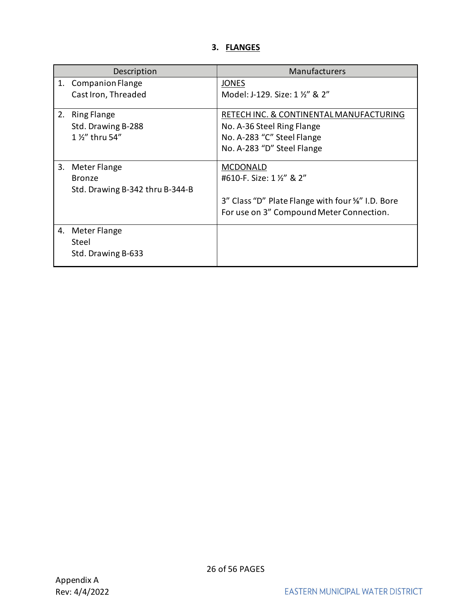## **3. FLANGES**

<span id="page-25-0"></span>

|    | Description                     | Manufacturers                                    |
|----|---------------------------------|--------------------------------------------------|
| 1. | <b>Companion Flange</b>         | <b>JONES</b>                                     |
|    | Cast Iron, Threaded             | Model: J-129. Size: 1 1/2" & 2"                  |
| 2. | <b>Ring Flange</b>              | RETECH INC. & CONTINENTAL MANUFACTURING          |
|    | Std. Drawing B-288              | No. A-36 Steel Ring Flange                       |
|    | 1 1/2" thru 54"                 | No. A-283 "C" Steel Flange                       |
|    |                                 | No. A-283 "D" Steel Flange                       |
| 3. | Meter Flange                    | <b>MCDONALD</b>                                  |
|    | <b>Bronze</b>                   | #610-F. Size: 1 1/2" & 2"                        |
|    | Std. Drawing B-342 thru B-344-B |                                                  |
|    |                                 | 3" Class "D" Plate Flange with four %" I.D. Bore |
|    |                                 | For use on 3" Compound Meter Connection.         |
| 4. | Meter Flange                    |                                                  |
|    | Steel                           |                                                  |
|    | Std. Drawing B-633              |                                                  |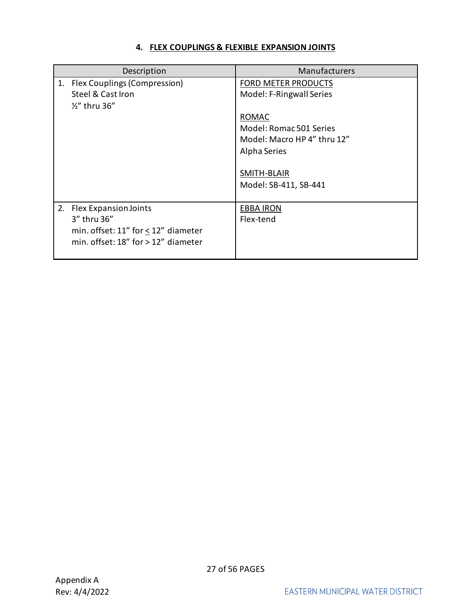## **4. FLEX COUPLINGS & FLEXIBLE EXPANSION JOINTS**

<span id="page-26-0"></span>

| Description                                                                                                                         | Manufacturers                                                                                                                                                                     |
|-------------------------------------------------------------------------------------------------------------------------------------|-----------------------------------------------------------------------------------------------------------------------------------------------------------------------------------|
| 1. Flex Couplings (Compression)<br>Steel & Cast Iron<br>1/2" thru 36"                                                               | <b>FORD METER PRODUCTS</b><br>Model: F-Ringwall Series<br>ROMAC<br>Model: Romac 501 Series<br>Model: Macro HP 4" thru 12"<br>Alpha Series<br>SMITH-BLAIR<br>Model: SB-411, SB-441 |
| 2.<br><b>Flex Expansion Joints</b><br>3" thru 36"<br>min. offset: 11" for < 12" diameter<br>min. offset: $18"$ for $> 12"$ diameter | <b>EBBA IRON</b><br>Flex-tend                                                                                                                                                     |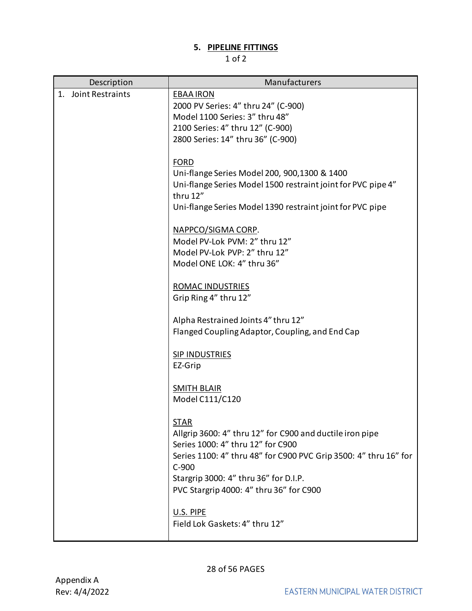## **5. PIPELINE FITTINGS**

<span id="page-27-0"></span>

| Description         | Manufacturers                                                                                                                                                                                                                                                                   |
|---------------------|---------------------------------------------------------------------------------------------------------------------------------------------------------------------------------------------------------------------------------------------------------------------------------|
| 1. Joint Restraints | <b>EBAA IRON</b><br>2000 PV Series: 4" thru 24" (C-900)<br>Model 1100 Series: 3" thru 48"<br>2100 Series: 4" thru 12" (C-900)<br>2800 Series: 14" thru 36" (C-900)                                                                                                              |
|                     | <b>FORD</b><br>Uni-flange Series Model 200, 900, 1300 & 1400<br>Uni-flange Series Model 1500 restraint joint for PVC pipe 4"<br>thru 12"<br>Uni-flange Series Model 1390 restraint joint for PVC pipe                                                                           |
|                     | NAPPCO/SIGMA CORP.<br>Model PV-Lok PVM: 2" thru 12"<br>Model PV-Lok PVP: 2" thru 12"<br>Model ONE LOK: 4" thru 36"                                                                                                                                                              |
|                     | ROMAC INDUSTRIES<br>Grip Ring 4" thru 12"                                                                                                                                                                                                                                       |
|                     | Alpha Restrained Joints 4" thru 12"<br>Flanged Coupling Adaptor, Coupling, and End Cap                                                                                                                                                                                          |
|                     | <b>SIP INDUSTRIES</b><br>EZ-Grip                                                                                                                                                                                                                                                |
|                     | <b>SMITH BLAIR</b><br>Model C111/C120                                                                                                                                                                                                                                           |
|                     | <b>STAR</b><br>Allgrip 3600: 4" thru 12" for C900 and ductile iron pipe<br>Series 1000: 4" thru 12" for C900<br>Series 1100: 4" thru 48" for C900 PVC Grip 3500: 4" thru 16" for<br>$C-900$<br>Stargrip 3000: 4" thru 36" for D.I.P.<br>PVC Stargrip 4000: 4" thru 36" for C900 |
|                     | U.S. PIPE<br>Field Lok Gaskets: 4" thru 12"                                                                                                                                                                                                                                     |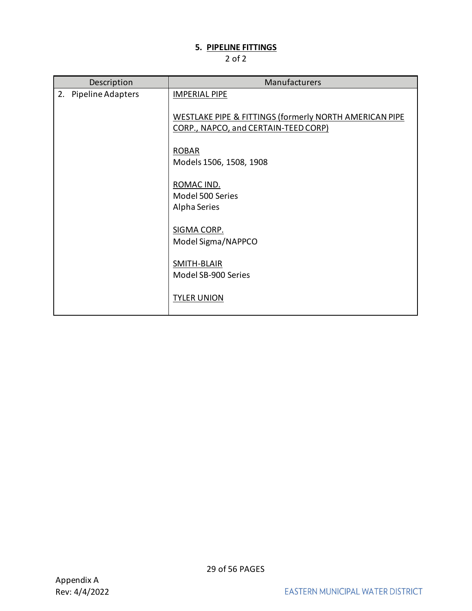## **5. PIPELINE FITTINGS**

| Description             | Manufacturers                                                                                             |
|-------------------------|-----------------------------------------------------------------------------------------------------------|
| Pipeline Adapters<br>2. | <b>IMPERIAL PIPE</b>                                                                                      |
|                         | <b>WESTLAKE PIPE &amp; FITTINGS (formerly NORTH AMERICAN PIPE</b><br>CORP., NAPCO, and CERTAIN-TEED CORP) |
|                         | <b>ROBAR</b>                                                                                              |
|                         | Models 1506, 1508, 1908                                                                                   |
|                         | ROMAC IND.                                                                                                |
|                         | Model 500 Series<br>Alpha Series                                                                          |
|                         | SIGMA CORP.<br>Model Sigma/NAPPCO                                                                         |
|                         | SMITH-BLAIR<br>Model SB-900 Series                                                                        |
|                         | <b>TYLER UNION</b>                                                                                        |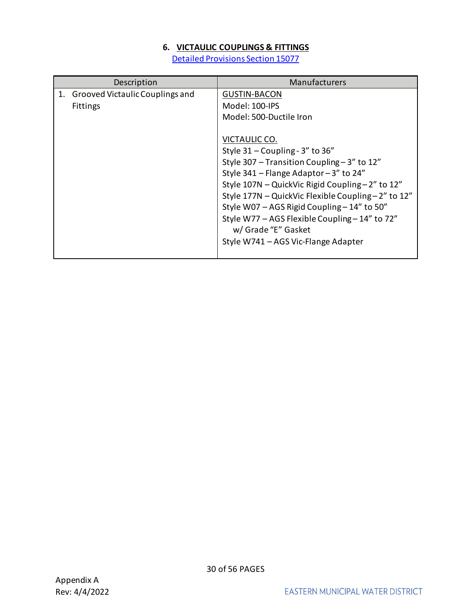## **6. VICTAULIC COUPLINGS & FITTINGS**

[Detailed Provisions Section 15077](https://www.emwd.org/sites/main/files/file-attachments/15077_rev1.pdf?1543181254)

<span id="page-29-0"></span>

| Description                                           | <b>Manufacturers</b>                                                                                                                                                                                                                                                                                                                                                                                                                                                                  |
|-------------------------------------------------------|---------------------------------------------------------------------------------------------------------------------------------------------------------------------------------------------------------------------------------------------------------------------------------------------------------------------------------------------------------------------------------------------------------------------------------------------------------------------------------------|
| 1. Grooved Victaulic Couplings and<br><b>Fittings</b> | <b>GUSTIN-BACON</b><br>Model: 100-IPS<br>Model: 500-Ductile Iron<br>VICTAULIC CO.<br>Style 31 - Coupling - 3" to 36"<br>Style 307 - Transition Coupling - 3" to 12"<br>Style 341 – Flange Adaptor – 3" to 24"<br>Style 107N - QuickVic Rigid Coupling - 2" to 12"<br>Style 177N - QuickVic Flexible Coupling-2" to 12"<br>Style W07 - AGS Rigid Coupling - 14" to 50"<br>Style W77 - AGS Flexible Coupling - 14" to 72"<br>w/ Grade "E" Gasket<br>Style W741 - AGS Vic-Flange Adapter |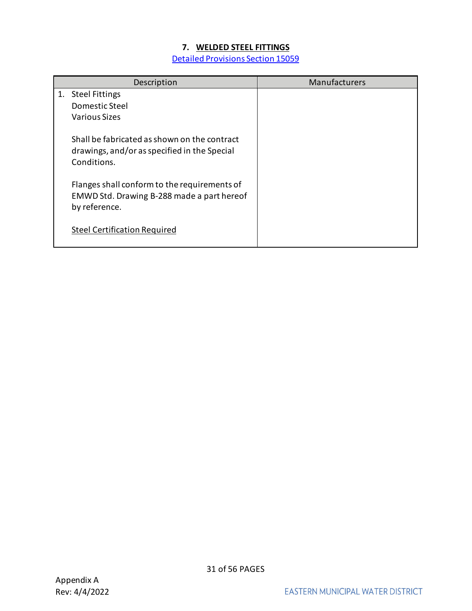## **7. WELDED STEEL FITTINGS**

[Detailed Provisions Section 15059](https://www.emwd.org/sites/main/files/file-attachments/15059_rev1.pdf?1543181166)

<span id="page-30-0"></span>

| Description                                                                                                 | Manufacturers |
|-------------------------------------------------------------------------------------------------------------|---------------|
| 1. Steel Fittings<br>Domestic Steel<br>Various Sizes                                                        |               |
| Shall be fabricated as shown on the contract<br>drawings, and/or as specified in the Special<br>Conditions. |               |
| Flanges shall conform to the requirements of<br>EMWD Std. Drawing B-288 made a part hereof<br>by reference. |               |
| <b>Steel Certification Required</b>                                                                         |               |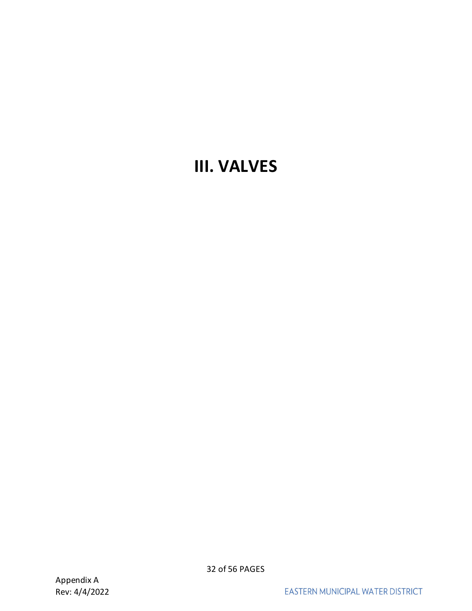## <span id="page-31-0"></span>**III. VALVES**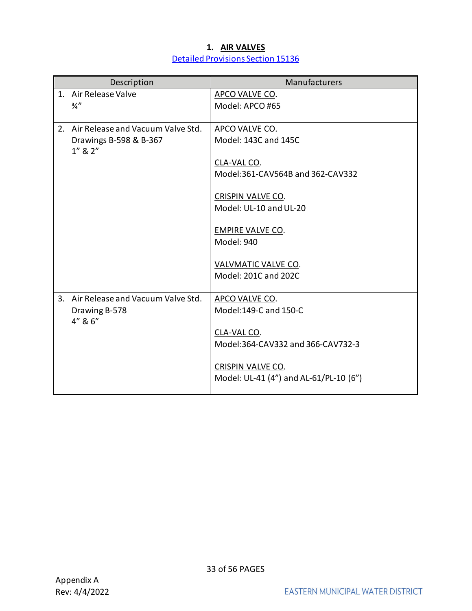## **1. AIR VALVES** [Detailed Provisions Section 15136](https://www.emwd.org/sites/main/files/file-attachments/15136_rev1.pdf?1543182070)

<span id="page-32-0"></span>

|    | Description                             | Manufacturers                          |
|----|-----------------------------------------|----------------------------------------|
|    | 1. Air Release Valve                    | APCO VALVE CO.                         |
|    | $\frac{3}{4}$ "                         | Model: APCO #65                        |
|    |                                         |                                        |
|    | 2. Air Release and Vacuum Valve Std.    | APCO VALVE CO.                         |
|    | Drawings B-598 & B-367<br>$1''$ & $2''$ | Model: 143C and 145C                   |
|    |                                         | CLA-VAL CO.                            |
|    |                                         | Model:361-CAV564B and 362-CAV332       |
|    |                                         | <b>CRISPIN VALVE CO.</b>               |
|    |                                         | Model: UL-10 and UL-20                 |
|    |                                         | <b>EMPIRE VALVE CO.</b>                |
|    |                                         | Model: 940                             |
|    |                                         | VALVMATIC VALVE CO.                    |
|    |                                         | Model: 201C and 202C                   |
| 3. | Air Release and Vacuum Valve Std.       | APCO VALVE CO.                         |
|    | Drawing B-578                           | Model:149-C and 150-C                  |
|    | 4" & 6"                                 |                                        |
|    |                                         | CLA-VAL CO.                            |
|    |                                         | Model:364-CAV332 and 366-CAV732-3      |
|    |                                         | <b>CRISPIN VALVE CO.</b>               |
|    |                                         | Model: UL-41 (4") and AL-61/PL-10 (6") |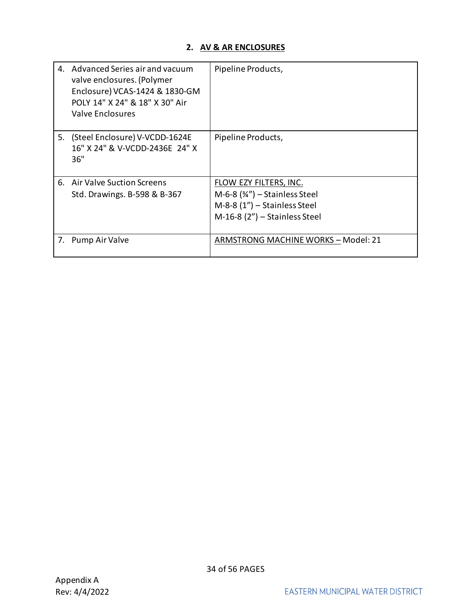## **2. AV & AR ENCLOSURES**

<span id="page-33-0"></span>

| 4. | Advanced Series air and vacuum<br>valve enclosures. (Polymer<br>Enclosure) VCAS-1424 & 1830-GM<br>POLY 14" X 24" & 18" X 30" Air<br>Valve Enclosures | Pipeline Products,                                                                                                              |
|----|------------------------------------------------------------------------------------------------------------------------------------------------------|---------------------------------------------------------------------------------------------------------------------------------|
| 5. | (Steel Enclosure) V-VCDD-1624E<br>16" X 24" & V-VCDD-2436E 24" X<br>36"                                                                              | Pipeline Products,                                                                                                              |
|    | 6. Air Valve Suction Screens<br>Std. Drawings. B-598 & B-367                                                                                         | FLOW EZY FILTERS, INC.<br>M-6-8 $(34'')$ – Stainless Steel<br>$M-8-8$ (1") – Stainless Steel<br>$M-16-8$ (2") – Stainless Steel |
| 7. | Pump Air Valve                                                                                                                                       | ARMSTRONG MACHINE WORKS - Model: 21                                                                                             |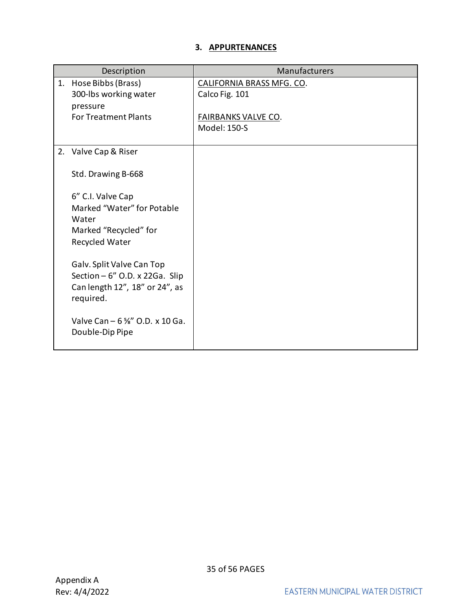## **3. APPURTENANCES**

<span id="page-34-0"></span>

|    | Description                                 | Manufacturers              |
|----|---------------------------------------------|----------------------------|
| 1. | Hose Bibbs (Brass)                          | CALIFORNIA BRASS MFG. CO.  |
|    | 300-lbs working water                       | Calco Fig. 101             |
|    | pressure<br><b>For Treatment Plants</b>     | <b>FAIRBANKS VALVE CO.</b> |
|    |                                             | Model: 150-S               |
|    |                                             |                            |
|    | 2. Valve Cap & Riser                        |                            |
|    | Std. Drawing B-668                          |                            |
|    | 6" C.I. Valve Cap                           |                            |
|    | Marked "Water" for Potable                  |                            |
|    | Water                                       |                            |
|    | Marked "Recycled" for<br>Recycled Water     |                            |
|    |                                             |                            |
|    | Galv. Split Valve Can Top                   |                            |
|    | Section $-6$ " O.D. x 22Ga. Slip            |                            |
|    | Can length 12", 18" or 24", as<br>required. |                            |
|    |                                             |                            |
|    | Valve Can $-6\frac{1}{8}$ " O.D. x 10 Ga.   |                            |
|    | Double-Dip Pipe                             |                            |
|    |                                             |                            |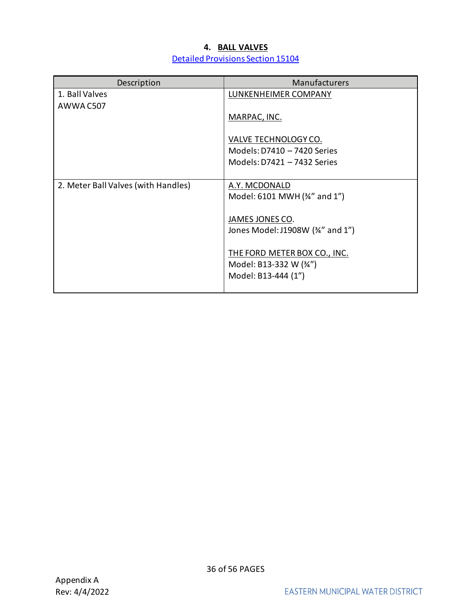## **4. BALL VALVES** [Detailed Provisions Section](http://www.emwd.org/home/showdocument?id=782) 15104

<span id="page-35-0"></span>

| Description                         | <b>Manufacturers</b>             |
|-------------------------------------|----------------------------------|
| 1. Ball Valves                      | LUNKENHEIMER COMPANY             |
| AWWA C507                           |                                  |
|                                     | MARPAC, INC.                     |
|                                     |                                  |
|                                     | VALVE TECHNOLOGY CO.             |
|                                     | Models: D7410 - 7420 Series      |
|                                     | Models: D7421 - 7432 Series      |
|                                     |                                  |
| 2. Meter Ball Valves (with Handles) | A.Y. MCDONALD                    |
|                                     | Model: 6101 MWH (34" and 1")     |
|                                     |                                  |
|                                     | JAMES JONES CO.                  |
|                                     | Jones Model: J1908W (34" and 1") |
|                                     |                                  |
|                                     | THE FORD METER BOX CO., INC.     |
|                                     | Model: B13-332 W (34")           |
|                                     | Model: B13-444 (1")              |
|                                     |                                  |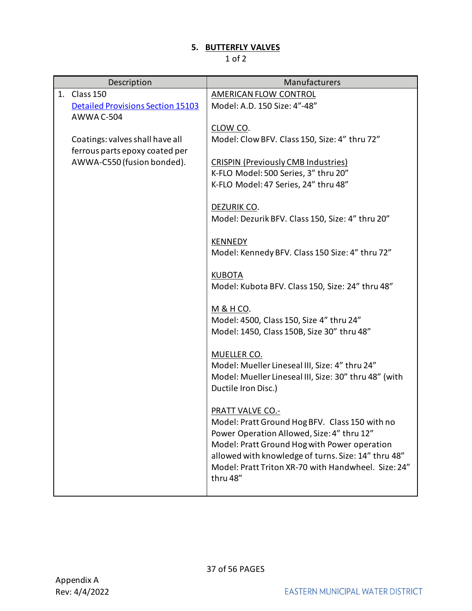## **5. BUTTERFLY VALVES**

<span id="page-36-0"></span>

|    | Description                              | Manufacturers                                                     |
|----|------------------------------------------|-------------------------------------------------------------------|
| 1. | Class 150                                | <b>AMERICAN FLOW CONTROL</b>                                      |
|    | <b>Detailed Provisions Section 15103</b> | Model: A.D. 150 Size: 4"-48"                                      |
|    | <b>AWWA C-504</b>                        |                                                                   |
|    |                                          | CLOW CO.                                                          |
|    | Coatings: valves shall have all          | Model: Clow BFV. Class 150, Size: 4" thru 72"                     |
|    | ferrous parts epoxy coated per           |                                                                   |
|    | AWWA-C550 (fusion bonded).               | <b>CRISPIN (Previously CMB Industries)</b>                        |
|    |                                          | K-FLO Model: 500 Series, 3" thru 20"                              |
|    |                                          | K-FLO Model: 47 Series, 24" thru 48"                              |
|    |                                          |                                                                   |
|    |                                          | DEZURIK CO.                                                       |
|    |                                          | Model: Dezurik BFV. Class 150, Size: 4" thru 20"                  |
|    |                                          |                                                                   |
|    |                                          | <b>KENNEDY</b><br>Model: Kennedy BFV. Class 150 Size: 4" thru 72" |
|    |                                          |                                                                   |
|    |                                          | <b>KUBOTA</b>                                                     |
|    |                                          | Model: Kubota BFV. Class 150, Size: 24" thru 48"                  |
|    |                                          |                                                                   |
|    |                                          | <u>M &amp; H CO</u> .                                             |
|    |                                          | Model: 4500, Class 150, Size 4" thru 24"                          |
|    |                                          | Model: 1450, Class 150B, Size 30" thru 48"                        |
|    |                                          |                                                                   |
|    |                                          | MUELLER CO.                                                       |
|    |                                          | Model: Mueller Lineseal III, Size: 4" thru 24"                    |
|    |                                          | Model: Mueller Lineseal III, Size: 30" thru 48" (with             |
|    |                                          | Ductile Iron Disc.)                                               |
|    |                                          |                                                                   |
|    |                                          | <b>PRATT VALVE CO.-</b>                                           |
|    |                                          | Model: Pratt Ground Hog BFV. Class 150 with no                    |
|    |                                          | Power Operation Allowed, Size: 4" thru 12"                        |
|    |                                          | Model: Pratt Ground Hog with Power operation                      |
|    |                                          | allowed with knowledge of turns. Size: 14" thru 48"               |
|    |                                          | Model: Pratt Triton XR-70 with Handwheel. Size: 24"               |
|    |                                          | thru 48"                                                          |
|    |                                          |                                                                   |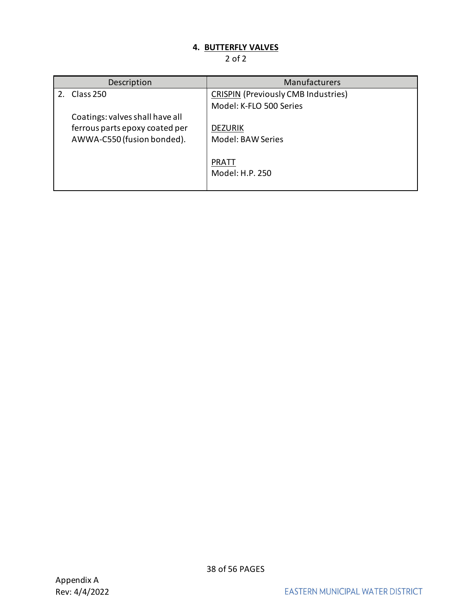## **4. BUTTERFLY VALVES**

<span id="page-37-0"></span>

| Description                     | <b>Manufacturers</b>                       |
|---------------------------------|--------------------------------------------|
| Class 250                       | <b>CRISPIN (Previously CMB Industries)</b> |
|                                 | Model: K-FLO 500 Series                    |
| Coatings: valves shall have all |                                            |
| ferrous parts epoxy coated per  | <b>DEZURIK</b>                             |
| AWWA-C550 (fusion bonded).      | Model: BAW Series                          |
|                                 |                                            |
|                                 | <b>PRATT</b>                               |
|                                 | Model: H.P. 250                            |
|                                 |                                            |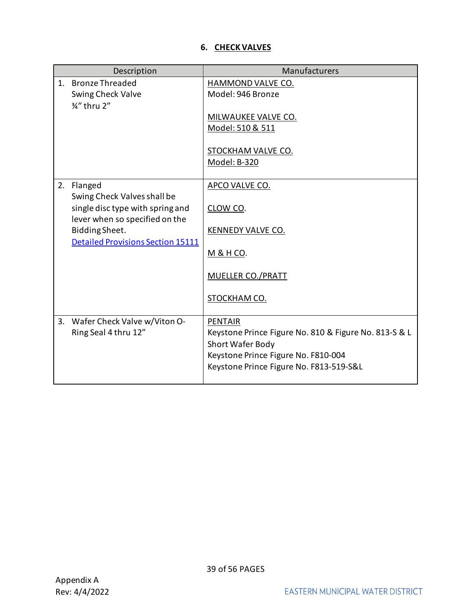## **6. CHECK VALVES**

<span id="page-38-0"></span>

|    | Description                                                        | Manufacturers                                                                                                                                                                 |
|----|--------------------------------------------------------------------|-------------------------------------------------------------------------------------------------------------------------------------------------------------------------------|
| 1. | <b>Bronze Threaded</b><br>Swing Check Valve<br>3/4" thru 2"        | HAMMOND VALVE CO.<br>Model: 946 Bronze                                                                                                                                        |
|    |                                                                    | MILWAUKEE VALVE CO.<br>Model: 510 & 511                                                                                                                                       |
|    |                                                                    | <b>STOCKHAM VALVE CO.</b><br>Model: B-320                                                                                                                                     |
| 2. | Flanged<br>Swing Check Valves shall be                             | APCO VALVE CO.                                                                                                                                                                |
|    | single disc type with spring and<br>lever when so specified on the | CLOW CO.                                                                                                                                                                      |
|    | Bidding Sheet.<br><b>Detailed Provisions Section 15111</b>         | <b>KENNEDY VALVE CO.</b>                                                                                                                                                      |
|    |                                                                    | <u>M &amp; H CO</u> .                                                                                                                                                         |
|    |                                                                    | MUELLER CO./PRATT                                                                                                                                                             |
|    |                                                                    | STOCKHAM CO.                                                                                                                                                                  |
| 3. | Wafer Check Valve w/Viton O-<br>Ring Seal 4 thru 12"               | <b>PENTAIR</b><br>Keystone Prince Figure No. 810 & Figure No. 813-S & L<br>Short Wafer Body<br>Keystone Prince Figure No. F810-004<br>Keystone Prince Figure No. F813-519-S&L |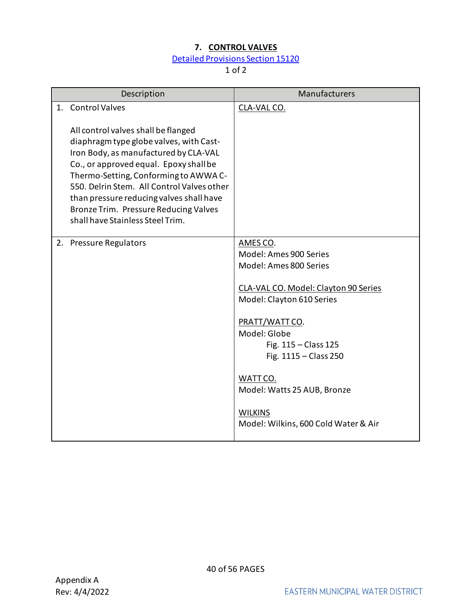## **7. CONTROL VALVES**

## [Detailed Provisions Section](http://www.emwd.org/home/showdocument?id=776) 15120

<span id="page-39-0"></span>

| Description                                                                                                                                                                                                                                                                                                                                                                                            | Manufacturers                                                                                                                                                                                                                                                                                                               |
|--------------------------------------------------------------------------------------------------------------------------------------------------------------------------------------------------------------------------------------------------------------------------------------------------------------------------------------------------------------------------------------------------------|-----------------------------------------------------------------------------------------------------------------------------------------------------------------------------------------------------------------------------------------------------------------------------------------------------------------------------|
| 1. Control Valves<br>All control valves shall be flanged<br>diaphragm type globe valves, with Cast-<br>Iron Body, as manufactured by CLA-VAL<br>Co., or approved equal. Epoxy shall be<br>Thermo-Setting, Conforming to AWWA C-<br>550. Delrin Stem. All Control Valves other<br>than pressure reducing valves shall have<br>Bronze Trim. Pressure Reducing Valves<br>shall have Stainless Steel Trim. | CLA-VAL CO.                                                                                                                                                                                                                                                                                                                 |
| 2. Pressure Regulators                                                                                                                                                                                                                                                                                                                                                                                 | AMES CO.<br>Model: Ames 900 Series<br>Model: Ames 800 Series<br>CLA-VAL CO. Model: Clayton 90 Series<br>Model: Clayton 610 Series<br>PRATT/WATT CO.<br>Model: Globe<br>Fig. $115 - Class 125$<br>Fig. 1115 - Class 250<br>WATT CO.<br>Model: Watts 25 AUB, Bronze<br><b>WILKINS</b><br>Model: Wilkins, 600 Cold Water & Air |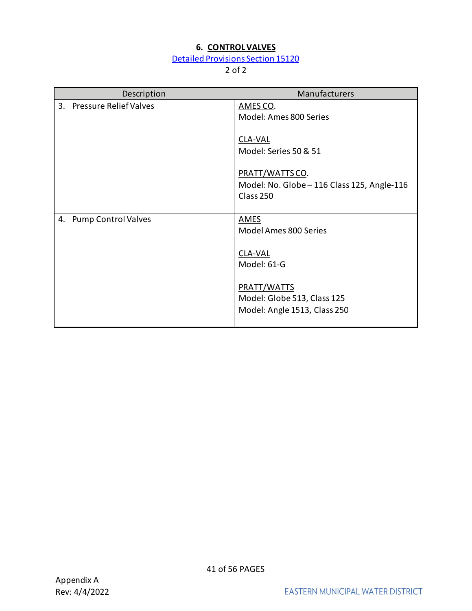## **6. CONTROL VALVES**

## [Detailed Provisions Section 15120](https://www.emwd.org/sites/main/files/file-attachments/15120_rev1.pdf?1543182030)

| Description                      | Manufacturers                                                               |
|----------------------------------|-----------------------------------------------------------------------------|
| 3. Pressure Relief Valves        | AMES CO.<br>Model: Ames 800 Series                                          |
|                                  | <b>CLA-VAL</b><br>Model: Series 50 & 51                                     |
|                                  | PRATT/WATTS CO.<br>Model: No. Globe - 116 Class 125, Angle-116<br>Class 250 |
| <b>Pump Control Valves</b><br>4. | <b>AMES</b><br>Model Ames 800 Series<br>CLA-VAL<br>Model: 61-G              |
|                                  | PRATT/WATTS<br>Model: Globe 513, Class 125<br>Model: Angle 1513, Class 250  |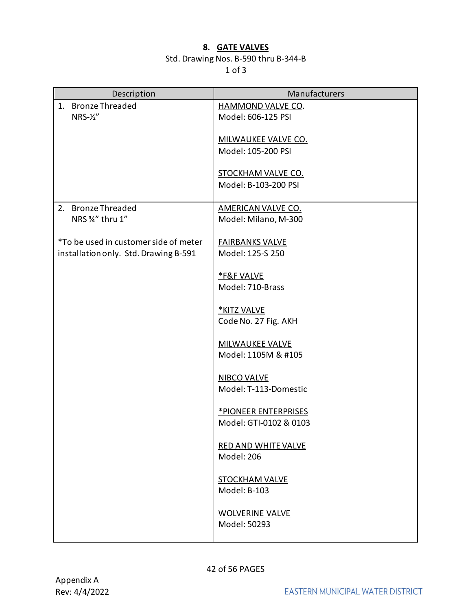### **8. GATE VALVES**

## Std. Drawing Nos. B-590 thru B-344-B

<span id="page-41-0"></span>

| Description                           | Manufacturers                               |
|---------------------------------------|---------------------------------------------|
| 1. Bronze Threaded                    | HAMMOND VALVE CO.                           |
| $NRS-\frac{1}{2}$                     | Model: 606-125 PSI                          |
|                                       | <b>MILWAUKEE VALVE CO.</b>                  |
|                                       | Model: 105-200 PSI                          |
|                                       |                                             |
|                                       | <b>STOCKHAM VALVE CO.</b>                   |
|                                       | Model: B-103-200 PSI                        |
| 2. Bronze Threaded                    | <b>AMERICAN VALVE CO.</b>                   |
| NRS 3/4" thru 1"                      | Model: Milano, M-300                        |
|                                       |                                             |
| *To be used in customer side of meter | <b>FAIRBANKS VALVE</b>                      |
| installation only. Std. Drawing B-591 | Model: 125-S 250                            |
|                                       | <b>*F&amp;F VALVE</b>                       |
|                                       | Model: 710-Brass                            |
|                                       |                                             |
|                                       | *KITZ VALVE<br>Code No. 27 Fig. AKH         |
|                                       |                                             |
|                                       | <b>MILWAUKEE VALVE</b>                      |
|                                       | Model: 1105M & #105                         |
|                                       |                                             |
|                                       | <b>NIBCO VALVE</b><br>Model: T-113-Domestic |
|                                       |                                             |
|                                       | *PIONEER ENTERPRISES                        |
|                                       | Model: GTI-0102 & 0103                      |
|                                       | RED AND WHITE VALVE                         |
|                                       | Model: 206                                  |
|                                       |                                             |
|                                       | <b>STOCKHAM VALVE</b>                       |
|                                       | Model: B-103                                |
|                                       | <b>WOLVERINE VALVE</b>                      |
|                                       | Model: 50293                                |
|                                       |                                             |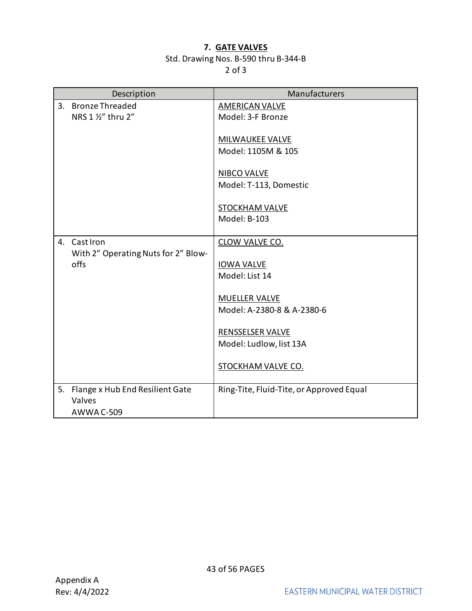#### **7. GATE VALVES**

## Std. Drawing Nos. B-590 thru B-344-B

|                   | Description                         | Manufacturers                            |
|-------------------|-------------------------------------|------------------------------------------|
| 3.                | <b>Bronze Threaded</b>              | <b>AMERICAN VALVE</b>                    |
|                   | NRS 1 1/2" thru 2"                  | Model: 3-F Bronze                        |
|                   |                                     |                                          |
|                   |                                     | MILWAUKEE VALVE<br>Model: 1105M & 105    |
|                   |                                     |                                          |
|                   |                                     | <b>NIBCO VALVE</b>                       |
|                   |                                     | Model: T-113, Domestic                   |
|                   |                                     |                                          |
|                   |                                     | <b>STOCKHAM VALVE</b>                    |
|                   |                                     | Model: B-103                             |
| Cast Iron<br>4.   |                                     | CLOW VALVE CO.                           |
|                   | With 2" Operating Nuts for 2" Blow- |                                          |
| offs              |                                     | <b>IOWA VALVE</b>                        |
|                   |                                     | Model: List 14                           |
|                   |                                     |                                          |
|                   |                                     | <b>MUELLER VALVE</b>                     |
|                   |                                     | Model: A-2380-8 & A-2380-6               |
|                   |                                     | <b>RENSSELSER VALVE</b>                  |
|                   |                                     | Model: Ludlow, list 13A                  |
|                   |                                     |                                          |
|                   |                                     | <b>STOCKHAM VALVE CO.</b>                |
|                   |                                     |                                          |
| 5.                | Flange x Hub End Resilient Gate     | Ring-Tite, Fluid-Tite, or Approved Equal |
| Valves            |                                     |                                          |
| <b>AWWA C-509</b> |                                     |                                          |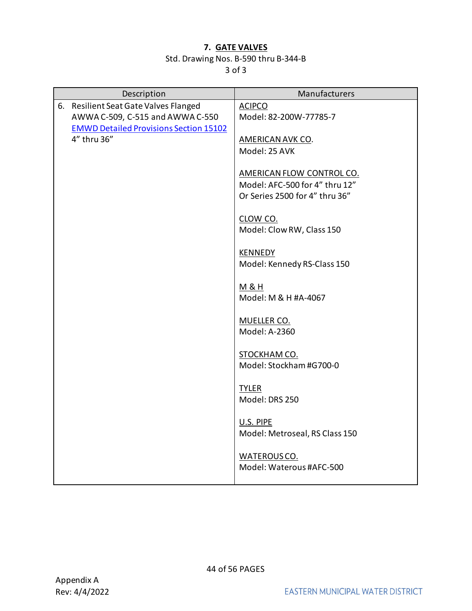### **7. GATE VALVES**

## Std. Drawing Nos. B-590 thru B-344-B

| Description                                   | Manufacturers                               |
|-----------------------------------------------|---------------------------------------------|
| 6. Resilient Seat Gate Valves Flanged         | <b>ACIPCO</b>                               |
| AWWA C-509, C-515 and AWWA C-550              | Model: 82-200W-77785-7                      |
| <b>EMWD Detailed Provisions Section 15102</b> |                                             |
| 4" thru 36"                                   | AMERICAN AVK CO.<br>Model: 25 AVK           |
|                                               |                                             |
|                                               | AMERICAN FLOW CONTROL CO.                   |
|                                               | Model: AFC-500 for 4" thru 12"              |
|                                               | Or Series 2500 for 4" thru 36"              |
|                                               |                                             |
|                                               | CLOW CO.                                    |
|                                               | Model: Clow RW, Class 150                   |
|                                               | <b>KENNEDY</b>                              |
|                                               | Model: Kennedy RS-Class 150                 |
|                                               |                                             |
|                                               | M&H                                         |
|                                               | Model: M & H #A-4067                        |
|                                               |                                             |
|                                               | MUELLER CO.<br>Model: A-2360                |
|                                               |                                             |
|                                               | STOCKHAM CO.                                |
|                                               | Model: Stockham #G700-0                     |
|                                               |                                             |
|                                               | <b>TYLER</b>                                |
|                                               | Model: DRS 250                              |
|                                               |                                             |
|                                               | U.S. PIPE<br>Model: Metroseal, RS Class 150 |
|                                               |                                             |
|                                               | WATEROUS CO.                                |
|                                               | Model: Waterous #AFC-500                    |
|                                               |                                             |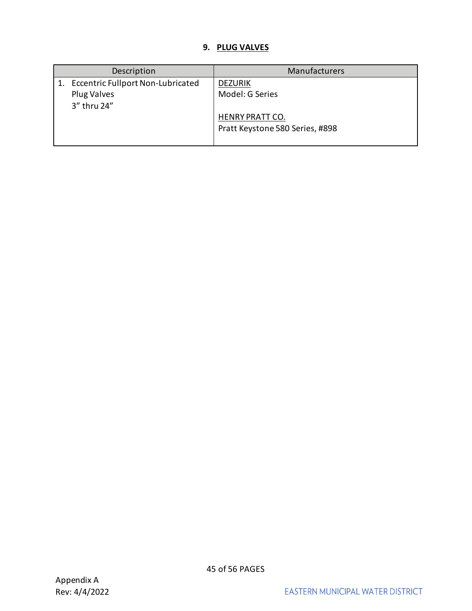## **9. PLUG VALVES**

<span id="page-44-0"></span>

| Description |                                          | Manufacturers                   |
|-------------|------------------------------------------|---------------------------------|
|             | <b>Eccentric Fullport Non-Lubricated</b> | <b>DEZURIK</b>                  |
|             | Plug Valves                              | Model: G Series                 |
|             | 3" thru 24"                              |                                 |
|             |                                          | <b>HENRY PRATT CO.</b>          |
|             |                                          | Pratt Keystone 580 Series, #898 |
|             |                                          |                                 |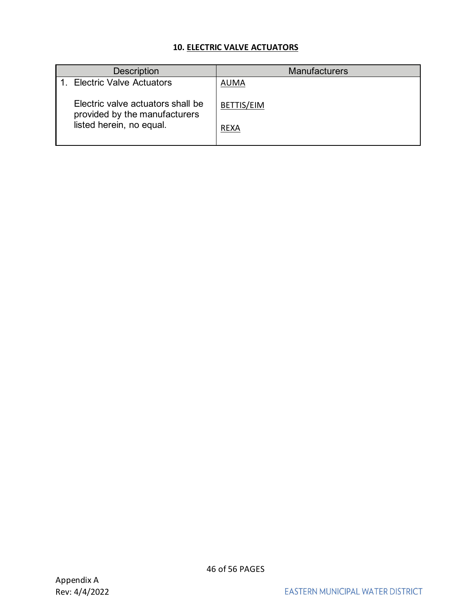## **10. ELECTRIC VALVE ACTUATORS**

<span id="page-45-0"></span>

| <b>Description</b>                                                 | <b>Manufacturers</b> |
|--------------------------------------------------------------------|----------------------|
| 1. Electric Valve Actuators                                        | <b>AUMA</b>          |
| Electric valve actuators shall be<br>provided by the manufacturers | BETTIS/EIM           |
| listed herein, no equal.                                           | <b>REXA</b>          |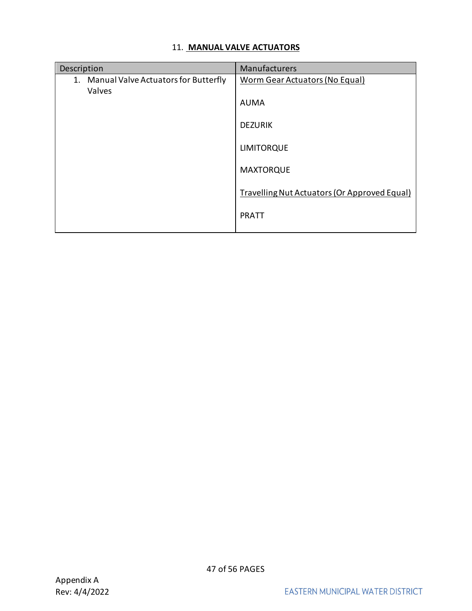## <span id="page-46-0"></span>11. **MANUAL VALVE ACTUATORS**

| Description                                          | Manufacturers                                |
|------------------------------------------------------|----------------------------------------------|
| Manual Valve Actuators for Butterfly<br>1.<br>Valves | <b>Worm Gear Actuators (No Equal)</b>        |
|                                                      | <b>AUMA</b>                                  |
|                                                      | <b>DEZURIK</b>                               |
|                                                      | <b>LIMITORQUE</b>                            |
|                                                      | <b>MAXTORQUE</b>                             |
|                                                      | Travelling Nut Actuators (Or Approved Equal) |
|                                                      | <b>PRATT</b>                                 |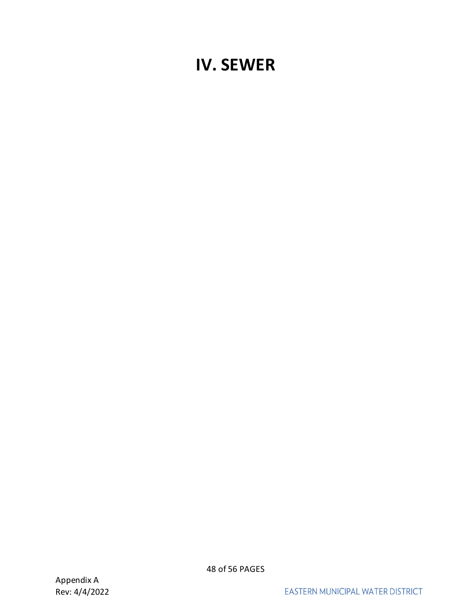## <span id="page-47-0"></span>**IV. SEWER**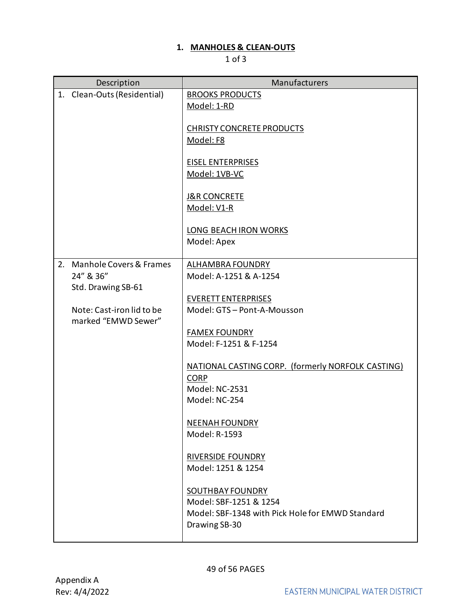## **1. MANHOLES & CLEAN-OUTS**

<span id="page-48-0"></span>

|    | Description                 | Manufacturers                                                              |
|----|-----------------------------|----------------------------------------------------------------------------|
|    | 1. Clean-Outs (Residential) | <b>BROOKS PRODUCTS</b><br>Model: 1-RD                                      |
|    |                             |                                                                            |
|    |                             | <b>CHRISTY CONCRETE PRODUCTS</b>                                           |
|    |                             | Model: F8                                                                  |
|    |                             | <b>EISEL ENTERPRISES</b>                                                   |
|    |                             | Model: 1VB-VC                                                              |
|    |                             | <b>J&amp;R CONCRETE</b>                                                    |
|    |                             | Model: V1-R                                                                |
|    |                             | LONG BEACH IRON WORKS                                                      |
|    |                             | Model: Apex                                                                |
| 2. | Manhole Covers & Frames     | <b>ALHAMBRA FOUNDRY</b>                                                    |
|    | 24" & 36"                   | Model: A-1251 & A-1254                                                     |
|    | Std. Drawing SB-61          |                                                                            |
|    | Note: Cast-iron lid to be   | <b>EVERETT ENTERPRISES</b><br>Model: GTS - Pont-A-Mousson                  |
|    | marked "EMWD Sewer"         |                                                                            |
|    |                             | <b>FAMEX FOUNDRY</b>                                                       |
|    |                             | Model: F-1251 & F-1254                                                     |
|    |                             | NATIONAL CASTING CORP. (formerly NORFOLK CASTING)                          |
|    |                             | <b>CORP</b><br>Model: NC-2531                                              |
|    |                             | Model: NC-254                                                              |
|    |                             | <b>NEENAH FOUNDRY</b>                                                      |
|    |                             | Model: R-1593                                                              |
|    |                             |                                                                            |
|    |                             | <b>RIVERSIDE FOUNDRY</b><br>Model: 1251 & 1254                             |
|    |                             |                                                                            |
|    |                             | <b>SOUTHBAY FOUNDRY</b>                                                    |
|    |                             | Model: SBF-1251 & 1254<br>Model: SBF-1348 with Pick Hole for EMWD Standard |
|    |                             | Drawing SB-30                                                              |
|    |                             |                                                                            |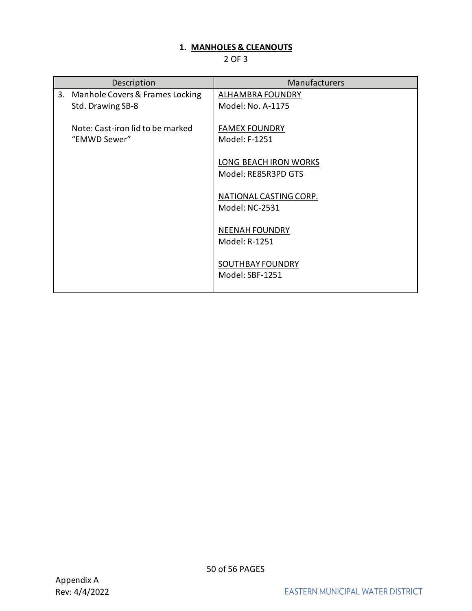## **1. MANHOLES & CLEANOUTS**

|    | Description                                          | Manufacturers                                |
|----|------------------------------------------------------|----------------------------------------------|
| 3. | Manhole Covers & Frames Locking<br>Std. Drawing SB-8 | ALHAMBRA FOUNDRY<br>Model: No. A-1175        |
|    | Note: Cast-iron lid to be marked<br>"EMWD Sewer"     | <b>FAMEX FOUNDRY</b><br>Model: F-1251        |
|    |                                                      | LONG BEACH IRON WORKS<br>Model: RE85R3PD GTS |
|    |                                                      | NATIONAL CASTING CORP.<br>Model: NC-2531     |
|    |                                                      | <b>NEENAH FOUNDRY</b><br>Model: R-1251       |
|    |                                                      | SOUTHBAY FOUNDRY<br>Model: SBF-1251          |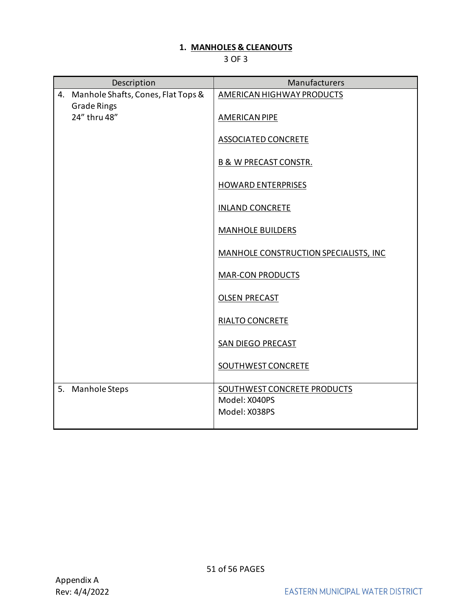## **1. MANHOLES & CLEANOUTS**

|    | Description                                              | Manufacturers                         |
|----|----------------------------------------------------------|---------------------------------------|
| 4. | Manhole Shafts, Cones, Flat Tops &<br><b>Grade Rings</b> | AMERICAN HIGHWAY PRODUCTS             |
|    | 24" thru 48"                                             | <b>AMERICAN PIPE</b>                  |
|    |                                                          | <b>ASSOCIATED CONCRETE</b>            |
|    |                                                          | <b>B &amp; W PRECAST CONSTR.</b>      |
|    |                                                          | <b>HOWARD ENTERPRISES</b>             |
|    |                                                          | <b>INLAND CONCRETE</b>                |
|    |                                                          | <b>MANHOLE BUILDERS</b>               |
|    |                                                          | MANHOLE CONSTRUCTION SPECIALISTS, INC |
|    |                                                          | <b>MAR-CON PRODUCTS</b>               |
|    |                                                          | <b>OLSEN PRECAST</b>                  |
|    |                                                          | <b>RIALTO CONCRETE</b>                |
|    |                                                          | SAN DIEGO PRECAST                     |
|    |                                                          | <b>SOUTHWEST CONCRETE</b>             |
| 5. | Manhole Steps                                            | SOUTHWEST CONCRETE PRODUCTS           |
|    |                                                          | Model: X040PS                         |
|    |                                                          | Model: X038PS                         |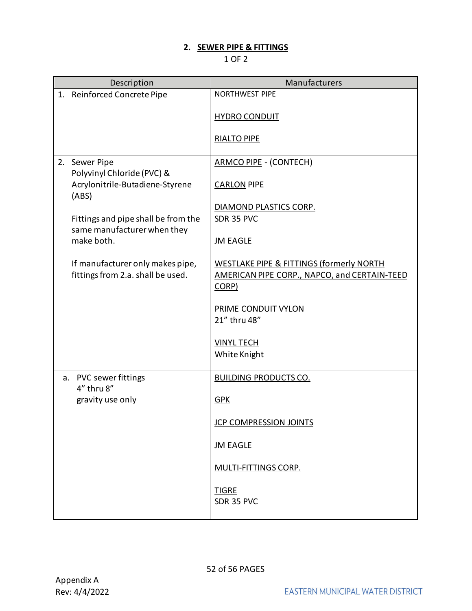## **2. SEWER PIPE & FITTINGS**

<span id="page-51-0"></span>

|                                             | Description                                                        | Manufacturers                                         |
|---------------------------------------------|--------------------------------------------------------------------|-------------------------------------------------------|
| Reinforced Concrete Pipe<br>1.              |                                                                    | <b>NORTHWEST PIPE</b>                                 |
|                                             |                                                                    | <b>HYDRO CONDUIT</b>                                  |
|                                             |                                                                    | <b>RIALTO PIPE</b>                                    |
| 2. Sewer Pipe<br>Polyvinyl Chloride (PVC) & |                                                                    | <b>ARMCO PIPE - (CONTECH)</b>                         |
| (ABS)                                       | Acrylonitrile-Butadiene-Styrene                                    | <b>CARLON PIPE</b>                                    |
|                                             |                                                                    | DIAMOND PLASTICS CORP.                                |
|                                             | Fittings and pipe shall be from the<br>same manufacturer when they | SDR 35 PVC                                            |
| make both.                                  |                                                                    | <b>JM EAGLE</b>                                       |
|                                             | If manufacturer only makes pipe,                                   | <b>WESTLAKE PIPE &amp; FITTINGS (formerly NORTH</b>   |
|                                             | fittings from 2.a. shall be used.                                  | AMERICAN PIPE CORP., NAPCO, and CERTAIN-TEED<br>CORP) |
|                                             |                                                                    |                                                       |
|                                             |                                                                    | <b>PRIME CONDUIT VYLON</b><br>21" thru 48"            |
|                                             |                                                                    | <b>VINYL TECH</b>                                     |
|                                             |                                                                    | White Knight                                          |
| PVC sewer fittings<br>a.                    |                                                                    | <b>BUILDING PRODUCTS CO.</b>                          |
| 4" thru 8"                                  |                                                                    |                                                       |
| gravity use only                            |                                                                    | <b>GPK</b>                                            |
|                                             |                                                                    | <b>JCP COMPRESSION JOINTS</b>                         |
|                                             |                                                                    | <b>JM EAGLE</b>                                       |
|                                             |                                                                    | <b>MULTI-FITTINGS CORP.</b>                           |
|                                             |                                                                    | <b>TIGRE</b><br>SDR 35 PVC                            |
|                                             |                                                                    |                                                       |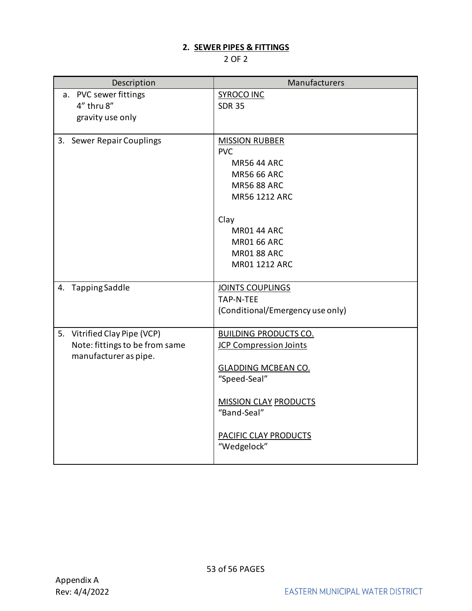## **2. SEWER PIPES & FITTINGS**

| Description                    | Manufacturers                    |
|--------------------------------|----------------------------------|
| a. PVC sewer fittings          | <b>SYROCO INC</b>                |
| $4''$ thru $8''$               | <b>SDR 35</b>                    |
| gravity use only               |                                  |
|                                |                                  |
| 3. Sewer Repair Couplings      | <b>MISSION RUBBER</b>            |
|                                | <b>PVC</b><br><b>MR56 44 ARC</b> |
|                                | <b>MR56 66 ARC</b>               |
|                                | <b>MR56 88 ARC</b>               |
|                                | MR56 1212 ARC                    |
|                                |                                  |
|                                | Clay                             |
|                                | <b>MR01 44 ARC</b>               |
|                                | <b>MR01 66 ARC</b>               |
|                                | <b>MR01 88 ARC</b>               |
|                                | MR01 1212 ARC                    |
|                                |                                  |
| 4. Tapping Saddle              | <b>JOINTS COUPLINGS</b>          |
|                                | TAP-N-TEE                        |
|                                | (Conditional/Emergency use only) |
| 5. Vitrified Clay Pipe (VCP)   | <b>BUILDING PRODUCTS CO.</b>     |
| Note: fittings to be from same | <b>JCP Compression Joints</b>    |
| manufacturer as pipe.          |                                  |
|                                | <b>GLADDING MCBEAN CO.</b>       |
|                                | "Speed-Seal"                     |
|                                |                                  |
|                                | <b>MISSION CLAY PRODUCTS</b>     |
|                                | "Band-Seal"                      |
|                                | <b>PACIFIC CLAY PRODUCTS</b>     |
|                                | "Wedgelock"                      |
|                                |                                  |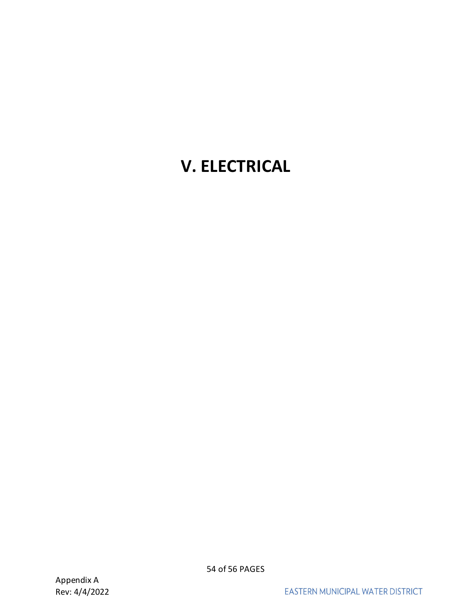## <span id="page-53-0"></span>**V. ELECTRICAL**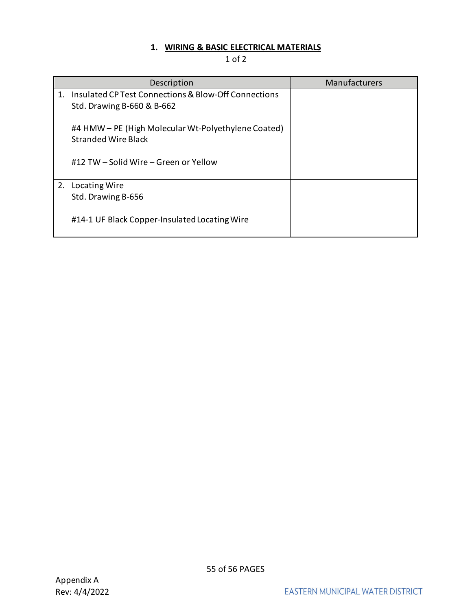## **1. WIRING & BASIC ELECTRICAL MATERIALS**

<span id="page-54-0"></span>

|    | Description                                                                        | Manufacturers |
|----|------------------------------------------------------------------------------------|---------------|
| 1. | Insulated CP Test Connections & Blow-Off Connections<br>Std. Drawing B-660 & B-662 |               |
|    | #4 HMW – PE (High Molecular Wt-Polyethylene Coated)<br><b>Stranded Wire Black</b>  |               |
|    | #12 TW – Solid Wire – Green or Yellow                                              |               |
| 2. | Locating Wire                                                                      |               |
|    | Std. Drawing B-656                                                                 |               |
|    | #14-1 UF Black Copper-Insulated Locating Wire                                      |               |